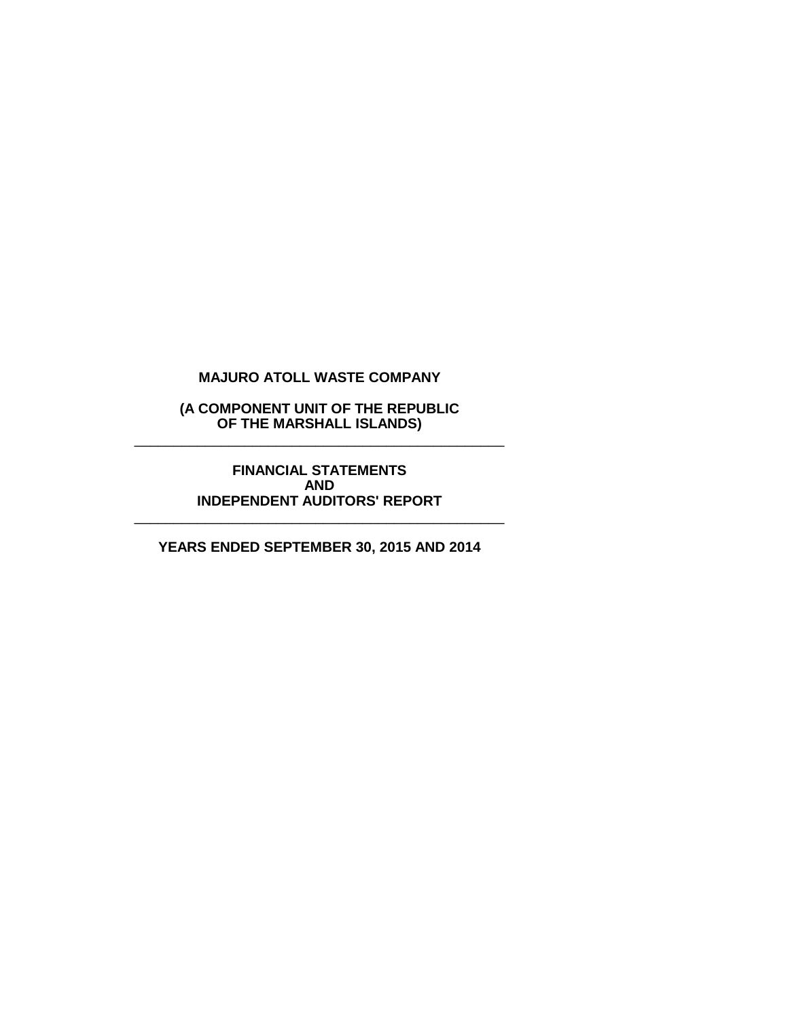**(A COMPONENT UNIT OF THE REPUBLIC OF THE MARSHALL ISLANDS)** \_\_\_\_\_\_\_\_\_\_\_\_\_\_\_\_\_\_\_\_\_\_\_\_\_\_\_\_\_\_\_\_\_\_\_\_\_\_\_\_\_\_\_\_\_\_\_

> **FINANCIAL STATEMENTS AND INDEPENDENT AUDITORS' REPORT**

\_\_\_\_\_\_\_\_\_\_\_\_\_\_\_\_\_\_\_\_\_\_\_\_\_\_\_\_\_\_\_\_\_\_\_\_\_\_\_\_\_\_\_\_\_\_\_

**YEARS ENDED SEPTEMBER 30, 2015 AND 2014**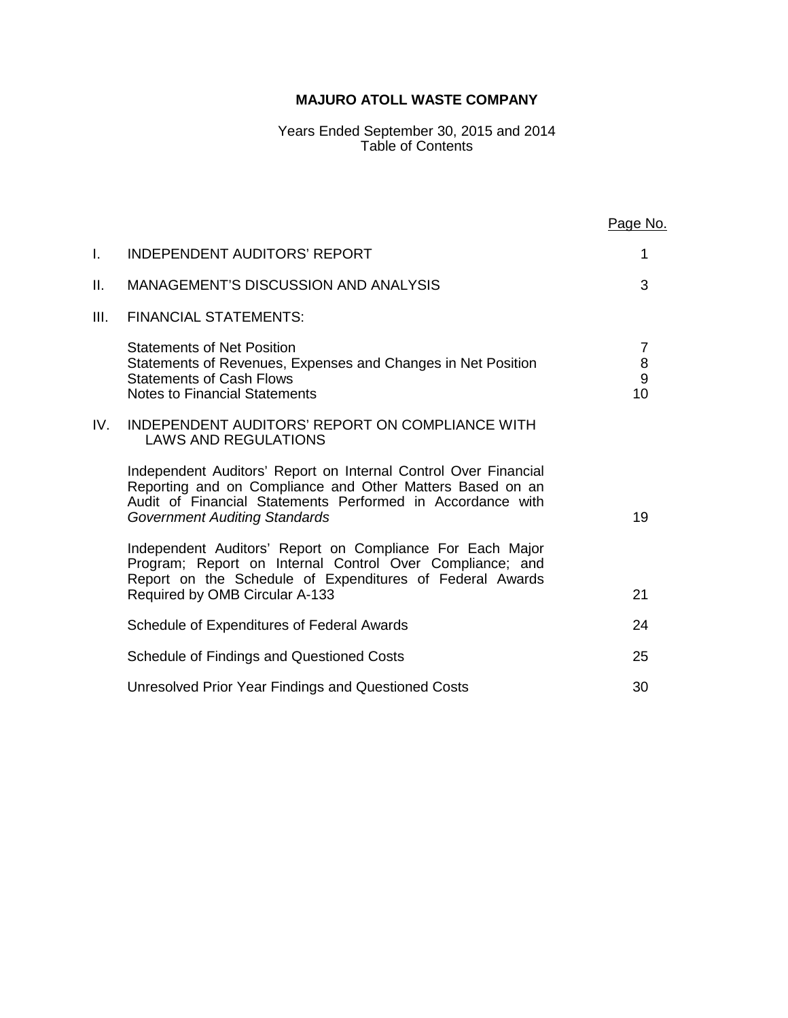## Years Ended September 30, 2015 and 2014 Table of Contents

|      |                                                                                                                                                                                                                                    | Page No.                                         |
|------|------------------------------------------------------------------------------------------------------------------------------------------------------------------------------------------------------------------------------------|--------------------------------------------------|
| I.   | INDEPENDENT AUDITORS' REPORT                                                                                                                                                                                                       | 1                                                |
| II.  | <b>MANAGEMENT'S DISCUSSION AND ANALYSIS</b>                                                                                                                                                                                        | 3                                                |
| III. | <b>FINANCIAL STATEMENTS:</b>                                                                                                                                                                                                       |                                                  |
|      | <b>Statements of Net Position</b><br>Statements of Revenues, Expenses and Changes in Net Position<br><b>Statements of Cash Flows</b><br><b>Notes to Financial Statements</b>                                                       | 7<br>$\begin{array}{c} 8 \\ 9 \end{array}$<br>10 |
| IV.  | INDEPENDENT AUDITORS' REPORT ON COMPLIANCE WITH<br><b>LAWS AND REGULATIONS</b>                                                                                                                                                     |                                                  |
|      | Independent Auditors' Report on Internal Control Over Financial<br>Reporting and on Compliance and Other Matters Based on an<br>Audit of Financial Statements Performed in Accordance with<br><b>Government Auditing Standards</b> | 19                                               |
|      | Independent Auditors' Report on Compliance For Each Major<br>Program; Report on Internal Control Over Compliance; and<br>Report on the Schedule of Expenditures of Federal Awards<br>Required by OMB Circular A-133                | 21                                               |
|      | Schedule of Expenditures of Federal Awards                                                                                                                                                                                         | 24                                               |
|      | Schedule of Findings and Questioned Costs                                                                                                                                                                                          | 25                                               |
|      | Unresolved Prior Year Findings and Questioned Costs                                                                                                                                                                                | 30                                               |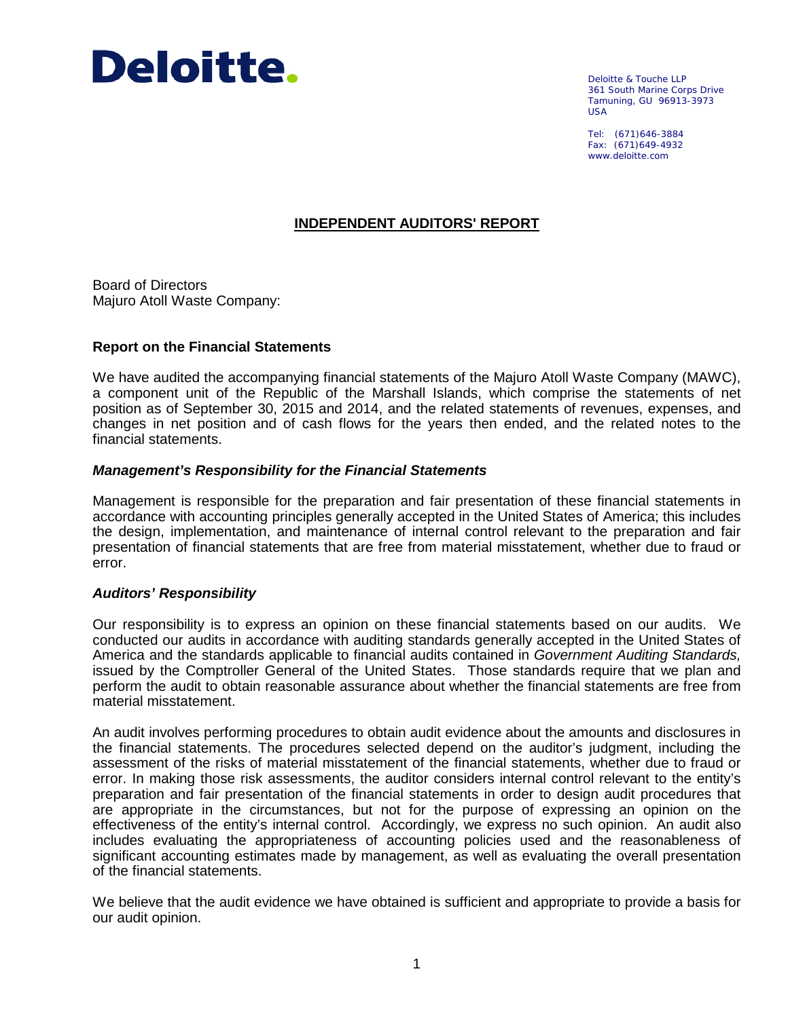

Deloitte & Touche LLP 361 South Marine Corps Drive Tamuning, GU 96913-3973 USA

Tel: (671)646-3884 Fax: (671)649-4932 www.deloitte.com

# **INDEPENDENT AUDITORS' REPORT**

Board of Directors Majuro Atoll Waste Company:

## **Report on the Financial Statements**

We have audited the accompanying financial statements of the Majuro Atoll Waste Company (MAWC), a component unit of the Republic of the Marshall Islands, which comprise the statements of net position as of September 30, 2015 and 2014, and the related statements of revenues, expenses, and changes in net position and of cash flows for the years then ended, and the related notes to the financial statements.

#### *Management's Responsibility for the Financial Statements*

Management is responsible for the preparation and fair presentation of these financial statements in accordance with accounting principles generally accepted in the United States of America; this includes the design, implementation, and maintenance of internal control relevant to the preparation and fair presentation of financial statements that are free from material misstatement, whether due to fraud or error.

#### *Auditors' Responsibility*

Our responsibility is to express an opinion on these financial statements based on our audits. We conducted our audits in accordance with auditing standards generally accepted in the United States of America and the standards applicable to financial audits contained in *Government Auditing Standards,* issued by the Comptroller General of the United States. Those standards require that we plan and perform the audit to obtain reasonable assurance about whether the financial statements are free from material misstatement.

An audit involves performing procedures to obtain audit evidence about the amounts and disclosures in the financial statements. The procedures selected depend on the auditor's judgment, including the assessment of the risks of material misstatement of the financial statements, whether due to fraud or error. In making those risk assessments, the auditor considers internal control relevant to the entity's preparation and fair presentation of the financial statements in order to design audit procedures that are appropriate in the circumstances, but not for the purpose of expressing an opinion on the effectiveness of the entity's internal control. Accordingly, we express no such opinion. An audit also includes evaluating the appropriateness of accounting policies used and the reasonableness of significant accounting estimates made by management, as well as evaluating the overall presentation of the financial statements.

We believe that the audit evidence we have obtained is sufficient and appropriate to provide a basis for our audit opinion.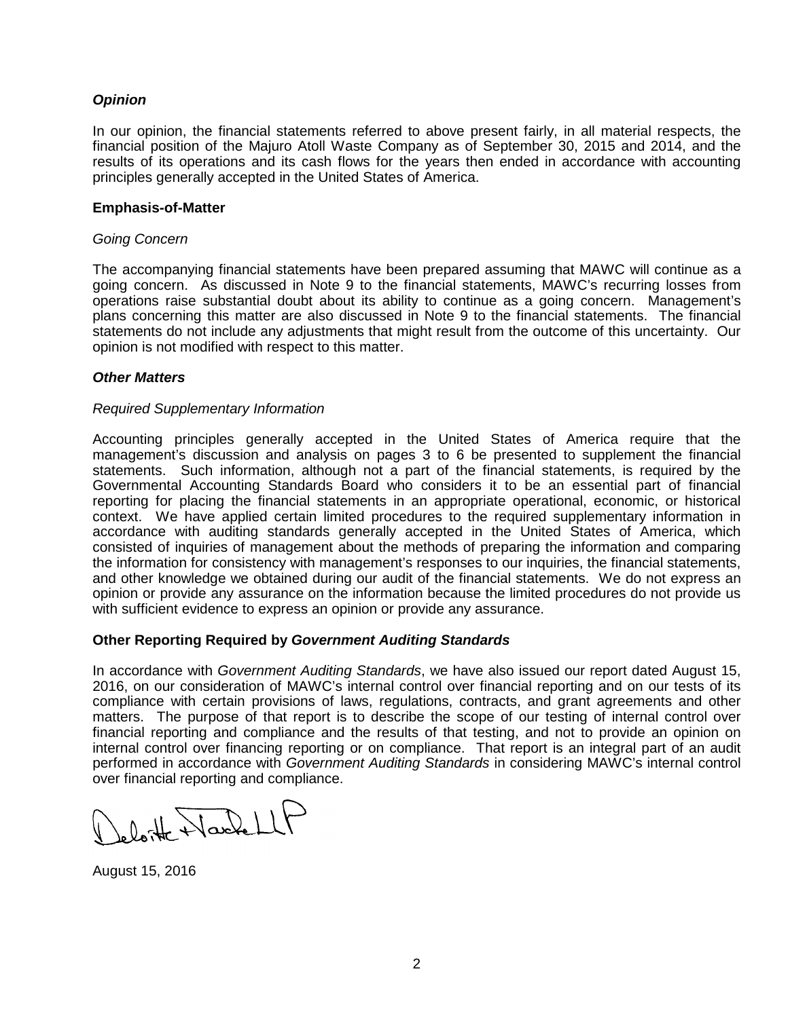# *Opinion*

In our opinion, the financial statements referred to above present fairly, in all material respects, the financial position of the Majuro Atoll Waste Company as of September 30, 2015 and 2014, and the results of its operations and its cash flows for the years then ended in accordance with accounting principles generally accepted in the United States of America.

#### **Emphasis-of-Matter**

#### *Going Concern*

The accompanying financial statements have been prepared assuming that MAWC will continue as a going concern. As discussed in Note 9 to the financial statements, MAWC's recurring losses from operations raise substantial doubt about its ability to continue as a going concern. Management's plans concerning this matter are also discussed in Note 9 to the financial statements. The financial statements do not include any adjustments that might result from the outcome of this uncertainty. Our opinion is not modified with respect to this matter.

## *Other Matters*

#### *Required Supplementary Information*

Accounting principles generally accepted in the United States of America require that the management's discussion and analysis on pages 3 to 6 be presented to supplement the financial statements. Such information, although not a part of the financial statements, is required by the Governmental Accounting Standards Board who considers it to be an essential part of financial reporting for placing the financial statements in an appropriate operational, economic, or historical context. We have applied certain limited procedures to the required supplementary information in accordance with auditing standards generally accepted in the United States of America, which consisted of inquiries of management about the methods of preparing the information and comparing the information for consistency with management's responses to our inquiries, the financial statements, and other knowledge we obtained during our audit of the financial statements. We do not express an opinion or provide any assurance on the information because the limited procedures do not provide us with sufficient evidence to express an opinion or provide any assurance.

## **Other Reporting Required by** *Government Auditing Standards*

In accordance with *Government Auditing Standards*, we have also issued our report dated August 15, 2016, on our consideration of MAWC's internal control over financial reporting and on our tests of its compliance with certain provisions of laws, regulations, contracts, and grant agreements and other matters. The purpose of that report is to describe the scope of our testing of internal control over financial reporting and compliance and the results of that testing, and not to provide an opinion on internal control over financing reporting or on compliance. That report is an integral part of an audit performed in accordance with *Government Auditing Standards* in considering MAWC's internal control over financial reporting and compliance.

deloite Narbell

August 15, 2016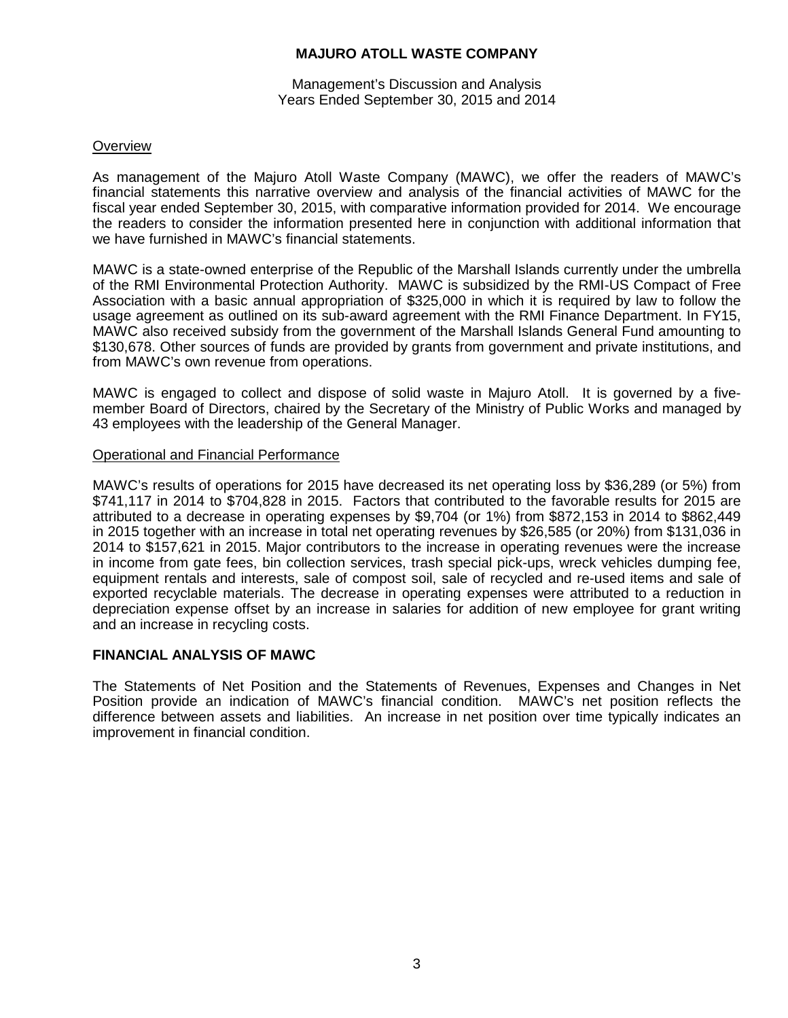Management's Discussion and Analysis Years Ended September 30, 2015 and 2014

#### **Overview**

As management of the Majuro Atoll Waste Company (MAWC), we offer the readers of MAWC's financial statements this narrative overview and analysis of the financial activities of MAWC for the fiscal year ended September 30, 2015, with comparative information provided for 2014. We encourage the readers to consider the information presented here in conjunction with additional information that we have furnished in MAWC's financial statements.

MAWC is a state-owned enterprise of the Republic of the Marshall Islands currently under the umbrella of the RMI Environmental Protection Authority. MAWC is subsidized by the RMI-US Compact of Free Association with a basic annual appropriation of \$325,000 in which it is required by law to follow the usage agreement as outlined on its sub-award agreement with the RMI Finance Department. In FY15, MAWC also received subsidy from the government of the Marshall Islands General Fund amounting to \$130,678. Other sources of funds are provided by grants from government and private institutions, and from MAWC's own revenue from operations.

MAWC is engaged to collect and dispose of solid waste in Majuro Atoll. It is governed by a fivemember Board of Directors, chaired by the Secretary of the Ministry of Public Works and managed by 43 employees with the leadership of the General Manager.

#### Operational and Financial Performance

MAWC's results of operations for 2015 have decreased its net operating loss by \$36,289 (or 5%) from \$741,117 in 2014 to \$704,828 in 2015. Factors that contributed to the favorable results for 2015 are attributed to a decrease in operating expenses by \$9,704 (or 1%) from \$872,153 in 2014 to \$862,449 in 2015 together with an increase in total net operating revenues by \$26,585 (or 20%) from \$131,036 in 2014 to \$157,621 in 2015. Major contributors to the increase in operating revenues were the increase in income from gate fees, bin collection services, trash special pick-ups, wreck vehicles dumping fee, equipment rentals and interests, sale of compost soil, sale of recycled and re-used items and sale of exported recyclable materials. The decrease in operating expenses were attributed to a reduction in depreciation expense offset by an increase in salaries for addition of new employee for grant writing and an increase in recycling costs.

## **FINANCIAL ANALYSIS OF MAWC**

The Statements of Net Position and the Statements of Revenues, Expenses and Changes in Net Position provide an indication of MAWC's financial condition. MAWC's net position reflects the difference between assets and liabilities. An increase in net position over time typically indicates an improvement in financial condition.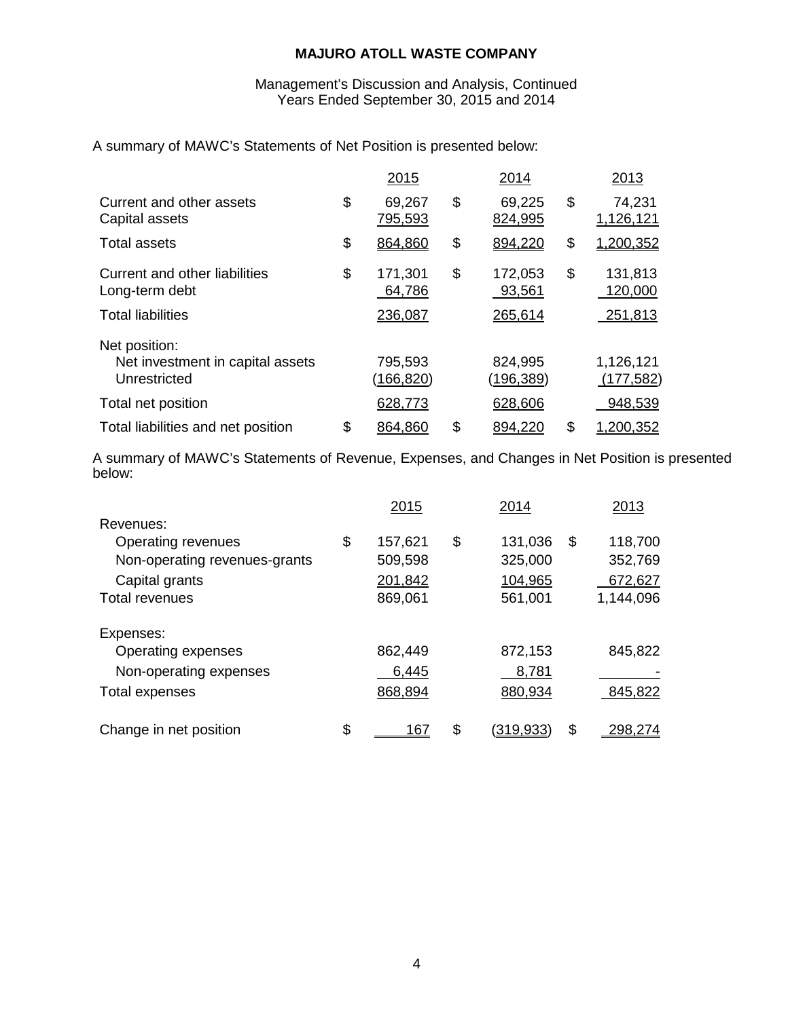Management's Discussion and Analysis, Continued Years Ended September 30, 2015 and 2014

A summary of MAWC's Statements of Net Position is presented below:

|                                                                   | 2015                    | 2014                    | 2013                      |
|-------------------------------------------------------------------|-------------------------|-------------------------|---------------------------|
| Current and other assets<br>Capital assets                        | \$<br>69,267<br>795,593 | \$<br>69,225<br>824,995 | \$<br>74,231<br>1,126,121 |
| <b>Total assets</b>                                               | \$<br>864,860           | \$<br>894,220           | \$<br>1,200,352           |
| Current and other liabilities<br>Long-term debt                   | \$<br>171,301<br>64,786 | \$<br>172,053<br>93,561 | \$<br>131,813<br>120,000  |
| <b>Total liabilities</b>                                          | 236,087                 | 265,614                 | 251,813                   |
| Net position:<br>Net investment in capital assets<br>Unrestricted | 795,593<br>(166,820)    | 824,995<br>(196,389)    | 1,126,121<br>(177, 582)   |
| Total net position                                                | 628,773                 | 628,606                 | 948,539                   |
| Total liabilities and net position                                | \$<br>864,860           | \$<br>894,220           | \$<br>1,200,352           |

A summary of MAWC's Statements of Revenue, Expenses, and Changes in Net Position is presented below:

|                               | 2015          | 2014                 |    | 2013      |
|-------------------------------|---------------|----------------------|----|-----------|
| Revenues:                     |               |                      |    |           |
| Operating revenues            | \$<br>157,621 | \$<br>131,036        | S  | 118,700   |
| Non-operating revenues-grants | 509,598       | 325,000              |    | 352,769   |
| Capital grants                | 201,842       | 104,965              |    | 672,627   |
| <b>Total revenues</b>         | 869,061       | 561,001              |    | 1,144,096 |
| Expenses:                     |               |                      |    |           |
| Operating expenses            | 862,449       | 872,153              |    | 845,822   |
| Non-operating expenses        | 6,445         | 8,781                |    |           |
| Total expenses                | 868,894       | 880,934              |    | 845,822   |
| Change in net position        | \$<br>167     | \$<br><u>319.933</u> | \$ | 298,274   |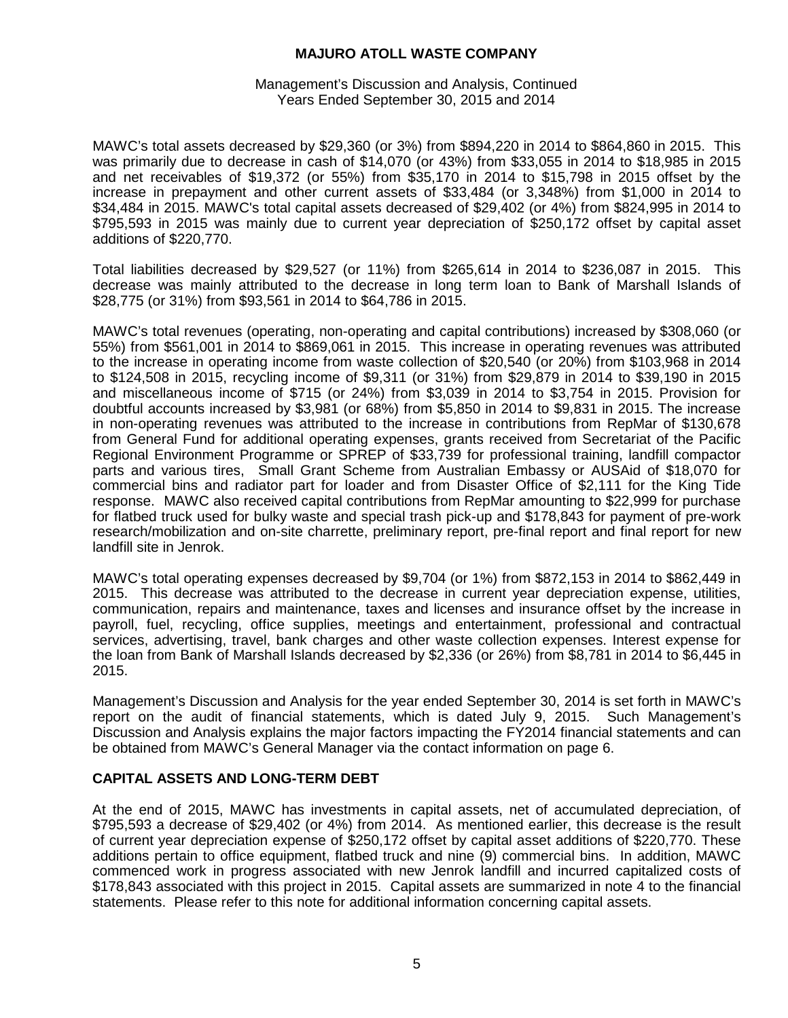#### Management's Discussion and Analysis, Continued Years Ended September 30, 2015 and 2014

MAWC's total assets decreased by \$29,360 (or 3%) from \$894,220 in 2014 to \$864,860 in 2015. This was primarily due to decrease in cash of \$14,070 (or 43%) from \$33,055 in 2014 to \$18,985 in 2015 and net receivables of \$19,372 (or 55%) from \$35,170 in 2014 to \$15,798 in 2015 offset by the increase in prepayment and other current assets of \$33,484 (or 3,348%) from \$1,000 in 2014 to \$34,484 in 2015. MAWC's total capital assets decreased of \$29,402 (or 4%) from \$824,995 in 2014 to \$795,593 in 2015 was mainly due to current year depreciation of \$250,172 offset by capital asset additions of \$220,770.

Total liabilities decreased by \$29,527 (or 11%) from \$265,614 in 2014 to \$236,087 in 2015. This decrease was mainly attributed to the decrease in long term loan to Bank of Marshall Islands of \$28,775 (or 31%) from \$93,561 in 2014 to \$64,786 in 2015.

MAWC's total revenues (operating, non-operating and capital contributions) increased by \$308,060 (or 55%) from \$561,001 in 2014 to \$869,061 in 2015. This increase in operating revenues was attributed to the increase in operating income from waste collection of \$20,540 (or 20%) from \$103,968 in 2014 to \$124,508 in 2015, recycling income of \$9,311 (or 31%) from \$29,879 in 2014 to \$39,190 in 2015 and miscellaneous income of \$715 (or 24%) from \$3,039 in 2014 to \$3,754 in 2015. Provision for doubtful accounts increased by \$3,981 (or 68%) from \$5,850 in 2014 to \$9,831 in 2015. The increase in non-operating revenues was attributed to the increase in contributions from RepMar of \$130,678 from General Fund for additional operating expenses, grants received from Secretariat of the Pacific Regional Environment Programme or SPREP of \$33,739 for professional training, landfill compactor parts and various tires, Small Grant Scheme from Australian Embassy or AUSAid of \$18,070 for commercial bins and radiator part for loader and from Disaster Office of \$2,111 for the King Tide response. MAWC also received capital contributions from RepMar amounting to \$22,999 for purchase for flatbed truck used for bulky waste and special trash pick-up and \$178,843 for payment of pre-work research/mobilization and on-site charrette, preliminary report, pre-final report and final report for new landfill site in Jenrok.

MAWC's total operating expenses decreased by \$9,704 (or 1%) from \$872,153 in 2014 to \$862,449 in 2015. This decrease was attributed to the decrease in current year depreciation expense, utilities, communication, repairs and maintenance, taxes and licenses and insurance offset by the increase in payroll, fuel, recycling, office supplies, meetings and entertainment, professional and contractual services, advertising, travel, bank charges and other waste collection expenses. Interest expense for the loan from Bank of Marshall Islands decreased by \$2,336 (or 26%) from \$8,781 in 2014 to \$6,445 in 2015.

Management's Discussion and Analysis for the year ended September 30, 2014 is set forth in MAWC's report on the audit of financial statements, which is dated July 9, 2015. Such Management's Discussion and Analysis explains the major factors impacting the FY2014 financial statements and can be obtained from MAWC's General Manager via the contact information on page 6.

## **CAPITAL ASSETS AND LONG-TERM DEBT**

At the end of 2015, MAWC has investments in capital assets, net of accumulated depreciation, of \$795,593 a decrease of \$29,402 (or 4%) from 2014. As mentioned earlier, this decrease is the result of current year depreciation expense of \$250,172 offset by capital asset additions of \$220,770. These additions pertain to office equipment, flatbed truck and nine (9) commercial bins. In addition, MAWC commenced work in progress associated with new Jenrok landfill and incurred capitalized costs of \$178,843 associated with this project in 2015. Capital assets are summarized in note 4 to the financial statements. Please refer to this note for additional information concerning capital assets.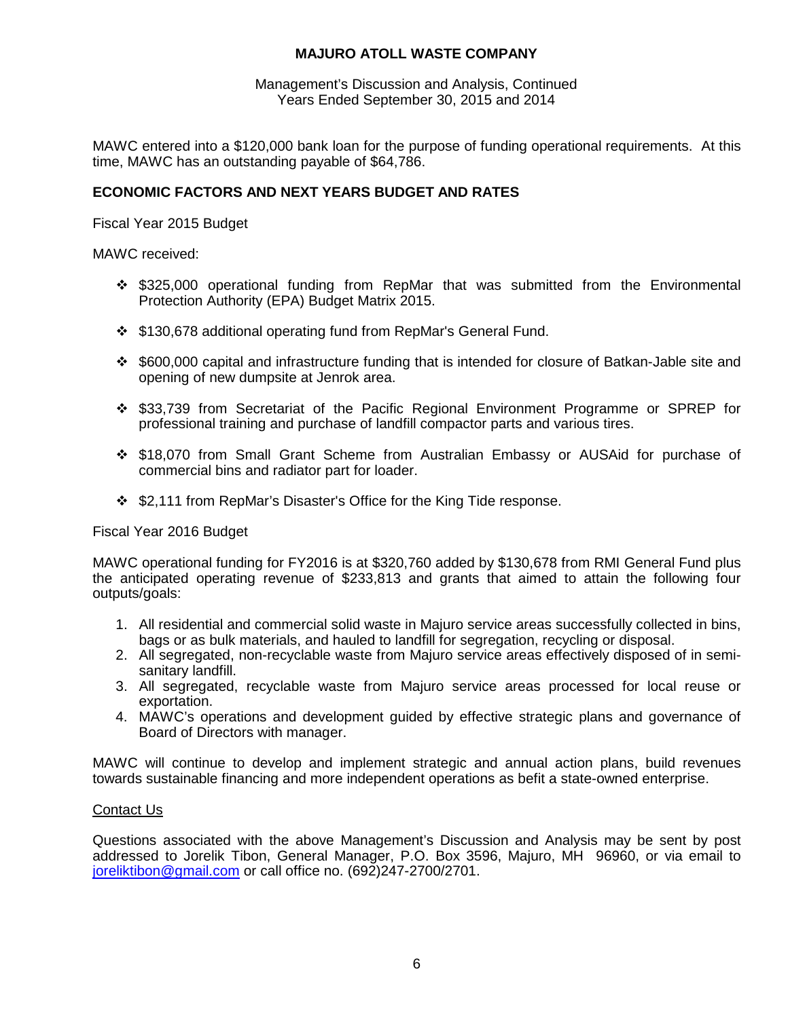Management's Discussion and Analysis, Continued Years Ended September 30, 2015 and 2014

MAWC entered into a \$120,000 bank loan for the purpose of funding operational requirements. At this time, MAWC has an outstanding payable of \$64,786.

# **ECONOMIC FACTORS AND NEXT YEARS BUDGET AND RATES**

Fiscal Year 2015 Budget

MAWC received:

- \$325,000 operational funding from RepMar that was submitted from the Environmental Protection Authority (EPA) Budget Matrix 2015.
- \$130,678 additional operating fund from RepMar's General Fund.
- \$600,000 capital and infrastructure funding that is intended for closure of Batkan-Jable site and opening of new dumpsite at Jenrok area.
- \$33,739 from Secretariat of the Pacific Regional Environment Programme or SPREP for professional training and purchase of landfill compactor parts and various tires.
- \$18,070 from Small Grant Scheme from Australian Embassy or AUSAid for purchase of commercial bins and radiator part for loader.
- \$2,111 from RepMar's Disaster's Office for the King Tide response.

Fiscal Year 2016 Budget

MAWC operational funding for FY2016 is at \$320,760 added by \$130,678 from RMI General Fund plus the anticipated operating revenue of \$233,813 and grants that aimed to attain the following four outputs/goals:

- 1. All residential and commercial solid waste in Majuro service areas successfully collected in bins, bags or as bulk materials, and hauled to landfill for segregation, recycling or disposal.
- 2. All segregated, non-recyclable waste from Majuro service areas effectively disposed of in semisanitary landfill.
- 3. All segregated, recyclable waste from Majuro service areas processed for local reuse or exportation.
- 4. MAWC's operations and development guided by effective strategic plans and governance of Board of Directors with manager.

MAWC will continue to develop and implement strategic and annual action plans, build revenues towards sustainable financing and more independent operations as befit a state-owned enterprise.

## Contact Us

Questions associated with the above Management's Discussion and Analysis may be sent by post addressed to Jorelik Tibon, General Manager, P.O. Box 3596, Majuro, MH 96960, or via email to [joreliktibon@gmail.com](mailto:jorelik.tibon1@gmail.com) or call office no. (692)247-2700/2701.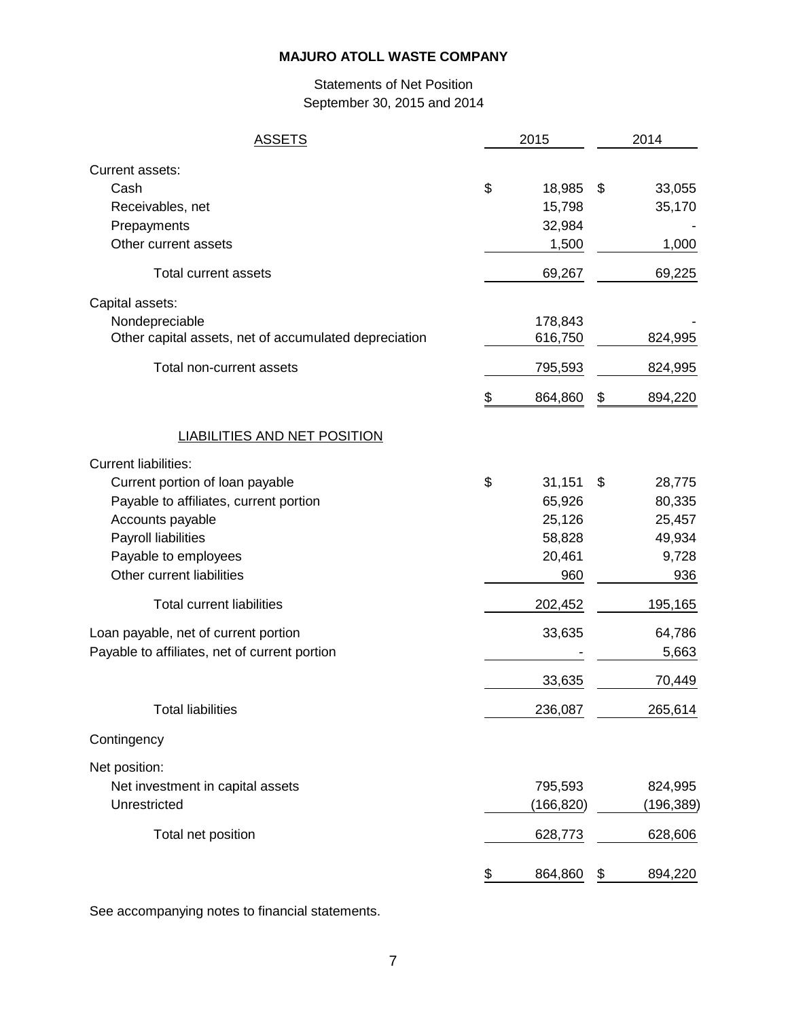# Statements of Net Position September 30, 2015 and 2014

| <b>ASSETS</b>                                         | 2015          | 2014          |
|-------------------------------------------------------|---------------|---------------|
| Current assets:                                       |               |               |
| Cash                                                  | \$<br>18,985  | \$<br>33,055  |
| Receivables, net                                      | 15,798        | 35,170        |
| Prepayments                                           | 32,984        |               |
| Other current assets                                  | 1,500         | 1,000         |
| <b>Total current assets</b>                           | 69,267        | 69,225        |
| Capital assets:                                       |               |               |
| Nondepreciable                                        | 178,843       |               |
| Other capital assets, net of accumulated depreciation | 616,750       | 824,995       |
| Total non-current assets                              | 795,593       | 824,995       |
|                                                       | \$<br>864,860 | \$<br>894,220 |
| <b>LIABILITIES AND NET POSITION</b>                   |               |               |
| <b>Current liabilities:</b>                           |               |               |
| Current portion of loan payable                       | \$<br>31,151  | \$<br>28,775  |
| Payable to affiliates, current portion                | 65,926        | 80,335        |
| Accounts payable                                      | 25,126        | 25,457        |
| Payroll liabilities                                   | 58,828        | 49,934        |
| Payable to employees                                  | 20,461        | 9,728         |
| Other current liabilities                             | 960           | 936           |
| <b>Total current liabilities</b>                      | 202,452       | 195,165       |
| Loan payable, net of current portion                  | 33,635        | 64,786        |
| Payable to affiliates, net of current portion         |               | 5,663         |
|                                                       | 33,635        | 70,449        |
| <b>Total liabilities</b>                              | 236,087       | 265,614       |
| Contingency                                           |               |               |
| Net position:                                         |               |               |
| Net investment in capital assets                      | 795,593       | 824,995       |
| Unrestricted                                          | (166, 820)    | (196,389)     |
| Total net position                                    | 628,773       | 628,606       |
|                                                       | \$<br>864,860 | \$<br>894,220 |

See accompanying notes to financial statements.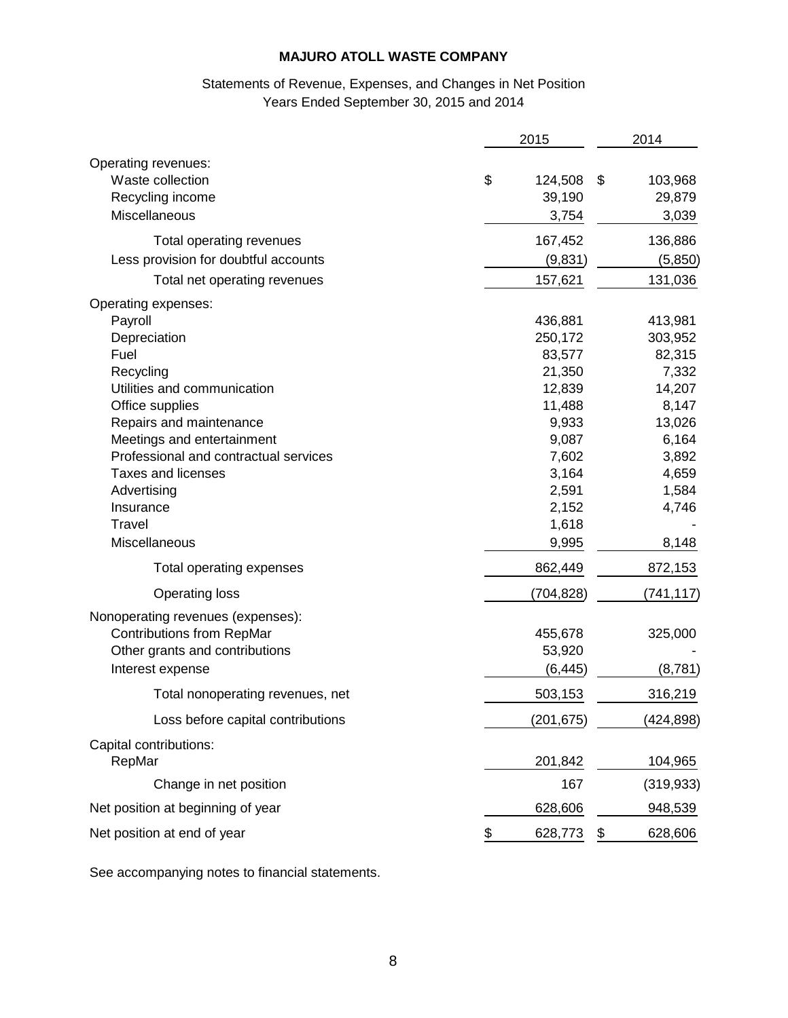# Statements of Revenue, Expenses, and Changes in Net Position Years Ended September 30, 2015 and 2014

|                                                                                                                                                                                                                                                                                                             | 2015 | 2014                                                                                                                                                                                                                                                           |
|-------------------------------------------------------------------------------------------------------------------------------------------------------------------------------------------------------------------------------------------------------------------------------------------------------------|------|----------------------------------------------------------------------------------------------------------------------------------------------------------------------------------------------------------------------------------------------------------------|
| Operating revenues:<br>Waste collection<br>Recycling income<br>Miscellaneous                                                                                                                                                                                                                                | \$   | \$<br>124,508<br>103,968<br>39,190<br>29,879<br>3,039<br>3,754                                                                                                                                                                                                 |
| Total operating revenues                                                                                                                                                                                                                                                                                    |      | 167,452<br>136,886                                                                                                                                                                                                                                             |
| Less provision for doubtful accounts                                                                                                                                                                                                                                                                        |      | (9,831)<br>(5,850)                                                                                                                                                                                                                                             |
| Total net operating revenues                                                                                                                                                                                                                                                                                |      | 131,036<br>157,621                                                                                                                                                                                                                                             |
| Operating expenses:<br>Payroll<br>Depreciation<br>Fuel<br>Recycling<br>Utilities and communication<br>Office supplies<br>Repairs and maintenance<br>Meetings and entertainment<br>Professional and contractual services<br><b>Taxes and licenses</b><br>Advertising<br>Insurance<br>Travel<br>Miscellaneous |      | 413,981<br>436,881<br>303,952<br>250,172<br>82,315<br>83,577<br>7,332<br>21,350<br>14,207<br>12,839<br>8,147<br>11,488<br>9,933<br>13,026<br>9,087<br>6,164<br>7,602<br>3,892<br>3,164<br>4,659<br>2,591<br>1,584<br>2,152<br>4,746<br>1,618<br>9,995<br>8,148 |
| Total operating expenses                                                                                                                                                                                                                                                                                    |      | 862,449<br>872,153                                                                                                                                                                                                                                             |
| <b>Operating loss</b>                                                                                                                                                                                                                                                                                       |      | (704, 828)<br>(741, 117)                                                                                                                                                                                                                                       |
| Nonoperating revenues (expenses):<br><b>Contributions from RepMar</b><br>Other grants and contributions<br>Interest expense                                                                                                                                                                                 |      | 325,000<br>455,678<br>53,920<br>(6, 445)<br>(8,781)                                                                                                                                                                                                            |
| Total nonoperating revenues, net                                                                                                                                                                                                                                                                            |      | 316,219<br>503,153                                                                                                                                                                                                                                             |
| Loss before capital contributions                                                                                                                                                                                                                                                                           |      | (424, 898)<br>(201, 675)                                                                                                                                                                                                                                       |
| Capital contributions:<br>RepMar                                                                                                                                                                                                                                                                            |      | 201,842<br>104,965                                                                                                                                                                                                                                             |
| Change in net position                                                                                                                                                                                                                                                                                      |      | 167<br>(319, 933)                                                                                                                                                                                                                                              |
| Net position at beginning of year                                                                                                                                                                                                                                                                           |      | 628,606<br>948,539                                                                                                                                                                                                                                             |
| Net position at end of year                                                                                                                                                                                                                                                                                 | \$   | 628,773<br>\$<br>628,606                                                                                                                                                                                                                                       |

See accompanying notes to financial statements.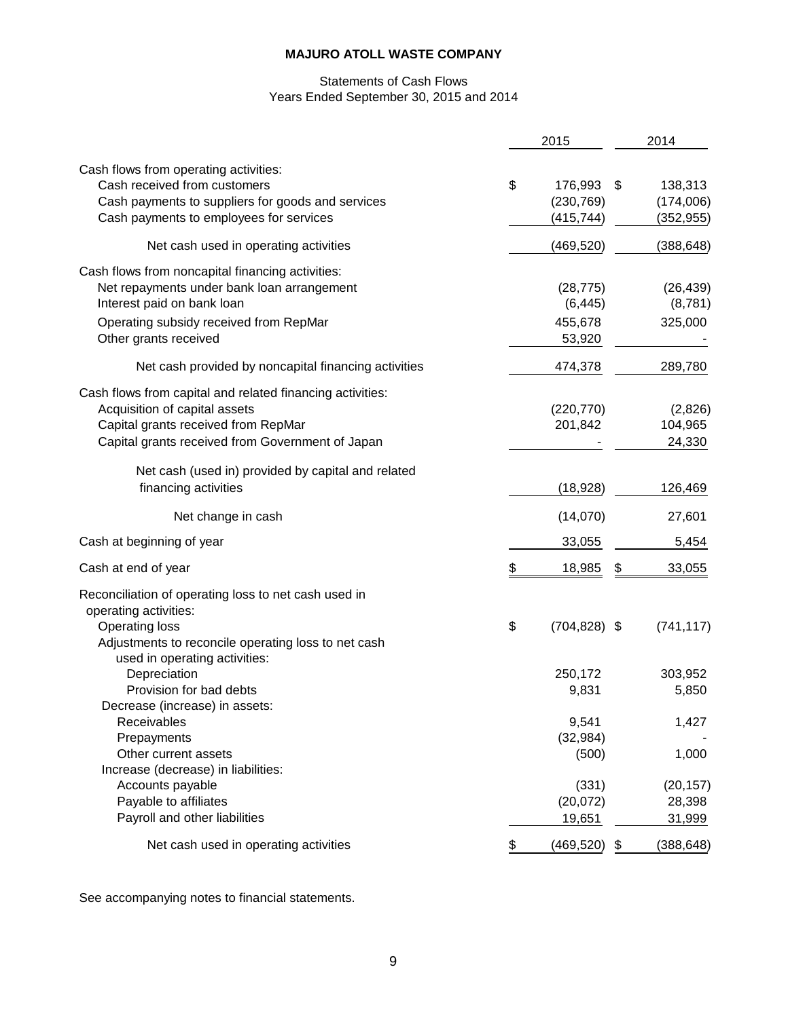## Statements of Cash Flows Years Ended September 30, 2015 and 2014

|                                                                              | 2015                  | 2014          |
|------------------------------------------------------------------------------|-----------------------|---------------|
| Cash flows from operating activities:<br>Cash received from customers        | \$<br>176,993         | \$<br>138,313 |
| Cash payments to suppliers for goods and services                            | (230, 769)            | (174,006)     |
| Cash payments to employees for services                                      | (415, 744)            | (352, 955)    |
| Net cash used in operating activities                                        | (469, 520)            | (388, 648)    |
| Cash flows from noncapital financing activities:                             |                       |               |
| Net repayments under bank loan arrangement                                   | (28, 775)             | (26, 439)     |
| Interest paid on bank loan                                                   | (6, 445)              | (8,781)       |
| Operating subsidy received from RepMar                                       | 455,678               | 325,000       |
| Other grants received                                                        | 53,920                |               |
| Net cash provided by noncapital financing activities                         | 474,378               | 289,780       |
| Cash flows from capital and related financing activities:                    |                       |               |
| Acquisition of capital assets                                                | (220, 770)            | (2,826)       |
| Capital grants received from RepMar                                          | 201,842               | 104,965       |
| Capital grants received from Government of Japan                             |                       | 24,330        |
| Net cash (used in) provided by capital and related                           |                       |               |
| financing activities                                                         | (18, 928)             | 126,469       |
| Net change in cash                                                           | (14,070)              | 27,601        |
| Cash at beginning of year                                                    | 33,055                | 5,454         |
| Cash at end of year                                                          | \$<br>18,985          | \$<br>33,055  |
| Reconciliation of operating loss to net cash used in                         |                       |               |
| operating activities:                                                        |                       |               |
| <b>Operating loss</b><br>Adjustments to reconcile operating loss to net cash | \$<br>$(704, 828)$ \$ | (741, 117)    |
| used in operating activities:                                                |                       |               |
| Depreciation                                                                 | 250,172               | 303,952       |
| Provision for bad debts                                                      | 9,831                 | 5,850         |
| Decrease (increase) in assets:                                               |                       |               |
| Receivables                                                                  | 9,541                 | 1,427         |
| Prepayments<br>Other current assets                                          | (32, 984)             |               |
| Increase (decrease) in liabilities:                                          | (500)                 | 1,000         |
| Accounts payable                                                             | (331)                 | (20, 157)     |
| Payable to affiliates                                                        | (20,072)              | 28,398        |
| Payroll and other liabilities                                                | 19,651                | 31,999        |
| Net cash used in operating activities                                        | \$<br>$(469, 520)$ \$ | (388, 648)    |

See accompanying notes to financial statements.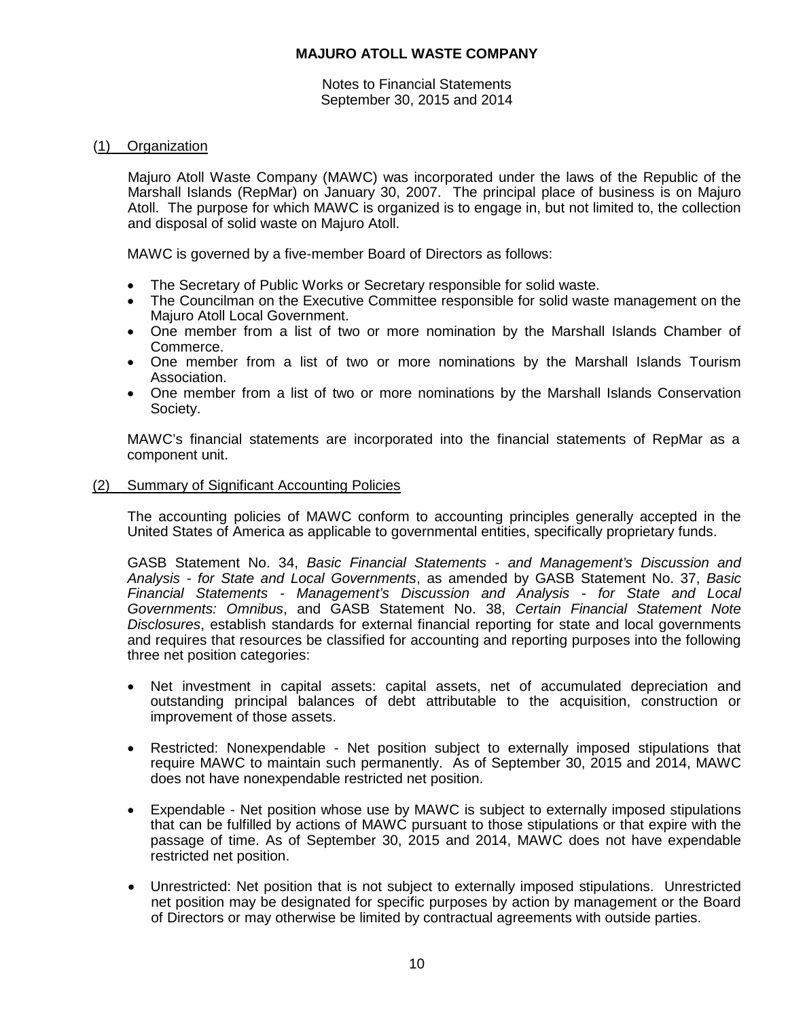Notes to Financial Statements September 30, 2015 and 2014

## (1) Organization

Majuro Atoll Waste Company (MAWC) was incorporated under the laws of the Republic of the Marshall Islands (RepMar) on January 30, 2007. The principal place of business is on Majuro Atoll. The purpose for which MAWC is organized is to engage in, but not limited to, the collection and disposal of solid waste on Majuro Atoll.

MAWC is governed by a five-member Board of Directors as follows:

- The Secretary of Public Works or Secretary responsible for solid waste.
- The Councilman on the Executive Committee responsible for solid waste management on the Majuro Atoll Local Government.
- One member from a list of two or more nomination by the Marshall Islands Chamber of Commerce.
- One member from a list of two or more nominations by the Marshall Islands Tourism Association.
- One member from a list of two or more nominations by the Marshall Islands Conservation Society.

MAWC's financial statements are incorporated into the financial statements of RepMar as a component unit.

## (2) Summary of Significant Accounting Policies

The accounting policies of MAWC conform to accounting principles generally accepted in the United States of America as applicable to governmental entities, specifically proprietary funds.

GASB Statement No. 34, *Basic Financial Statements - and Management's Discussion and Analysis - for State and Local Governments*, as amended by GASB Statement No. 37, *Basic Financial Statements - Management's Discussion and Analysis - for State and Local Governments: Omnibus*, and GASB Statement No. 38, *Certain Financial Statement Note Disclosures*, establish standards for external financial reporting for state and local governments and requires that resources be classified for accounting and reporting purposes into the following three net position categories:

- Net investment in capital assets: capital assets, net of accumulated depreciation and outstanding principal balances of debt attributable to the acquisition, construction or improvement of those assets.
- Restricted: Nonexpendable Net position subject to externally imposed stipulations that require MAWC to maintain such permanently. As of September 30, 2015 and 2014, MAWC does not have nonexpendable restricted net position.
- Expendable Net position whose use by MAWC is subject to externally imposed stipulations that can be fulfilled by actions of MAWC pursuant to those stipulations or that expire with the passage of time. As of September 30, 2015 and 2014, MAWC does not have expendable restricted net position.
- Unrestricted: Net position that is not subject to externally imposed stipulations. Unrestricted net position may be designated for specific purposes by action by management or the Board of Directors or may otherwise be limited by contractual agreements with outside parties.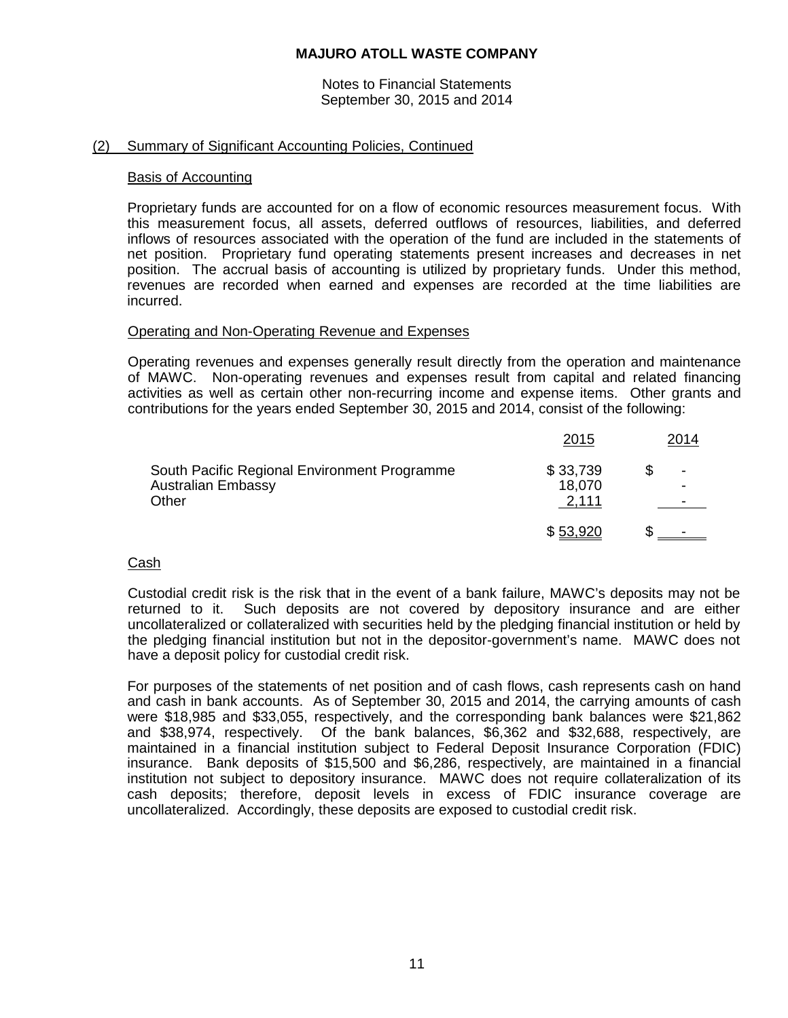Notes to Financial Statements September 30, 2015 and 2014

#### (2) Summary of Significant Accounting Policies, Continued

#### Basis of Accounting

Proprietary funds are accounted for on a flow of economic resources measurement focus. With this measurement focus, all assets, deferred outflows of resources, liabilities, and deferred inflows of resources associated with the operation of the fund are included in the statements of net position. Proprietary fund operating statements present increases and decreases in net position. The accrual basis of accounting is utilized by proprietary funds. Under this method, revenues are recorded when earned and expenses are recorded at the time liabilities are incurred.

#### Operating and Non-Operating Revenue and Expenses

Operating revenues and expenses generally result directly from the operation and maintenance of MAWC. Non-operating revenues and expenses result from capital and related financing activities as well as certain other non-recurring income and expense items. Other grants and contributions for the years ended September 30, 2015 and 2014, consist of the following:

|                                                                             | 2015                        | 2014   |
|-----------------------------------------------------------------------------|-----------------------------|--------|
| South Pacific Regional Environment Programme<br>Australian Embassy<br>Other | \$33,739<br>18,070<br>2,111 | -<br>- |
|                                                                             | \$53.920                    |        |

#### Cash

Custodial credit risk is the risk that in the event of a bank failure, MAWC's deposits may not be returned to it. Such deposits are not covered by depository insurance and are either uncollateralized or collateralized with securities held by the pledging financial institution or held by the pledging financial institution but not in the depositor-government's name. MAWC does not have a deposit policy for custodial credit risk.

For purposes of the statements of net position and of cash flows, cash represents cash on hand and cash in bank accounts. As of September 30, 2015 and 2014, the carrying amounts of cash were \$18,985 and \$33,055, respectively, and the corresponding bank balances were \$21,862 and \$38,974, respectively. Of the bank balances, \$6,362 and \$32,688, respectively, are maintained in a financial institution subject to Federal Deposit Insurance Corporation (FDIC) insurance. Bank deposits of \$15,500 and \$6,286, respectively, are maintained in a financial institution not subject to depository insurance. MAWC does not require collateralization of its cash deposits; therefore, deposit levels in excess of FDIC insurance coverage are uncollateralized. Accordingly, these deposits are exposed to custodial credit risk.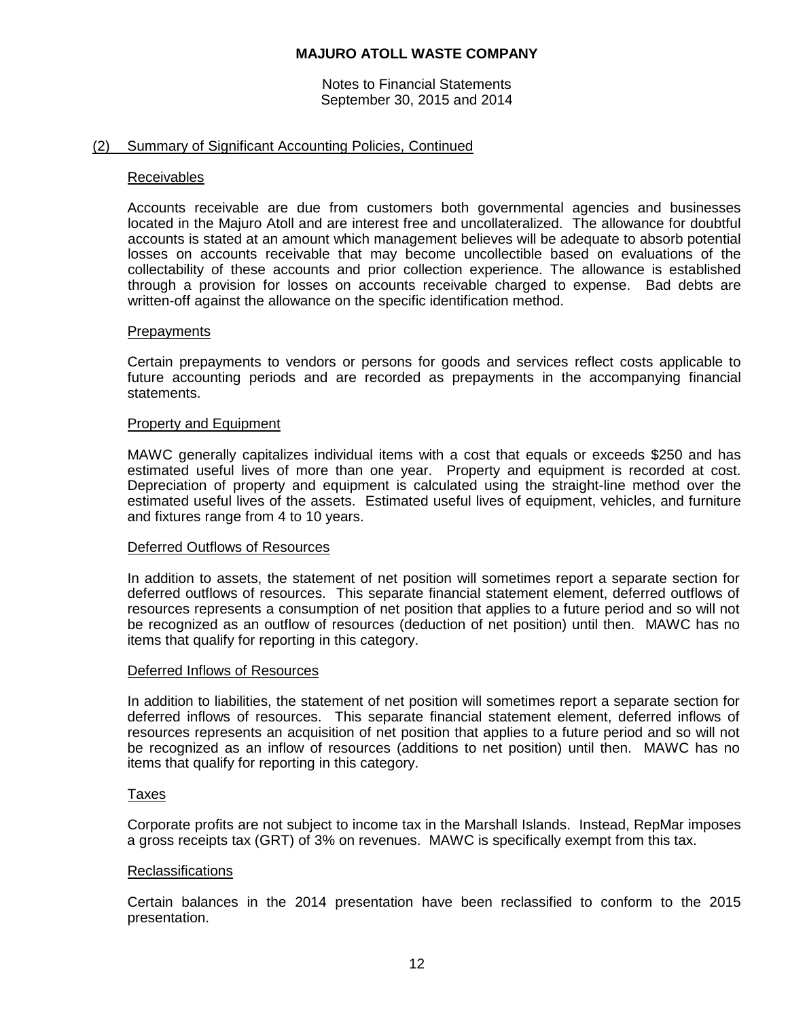Notes to Financial Statements September 30, 2015 and 2014

#### (2) Summary of Significant Accounting Policies, Continued

#### Receivables

Accounts receivable are due from customers both governmental agencies and businesses located in the Majuro Atoll and are interest free and uncollateralized. The allowance for doubtful accounts is stated at an amount which management believes will be adequate to absorb potential losses on accounts receivable that may become uncollectible based on evaluations of the collectability of these accounts and prior collection experience. The allowance is established through a provision for losses on accounts receivable charged to expense. Bad debts are written-off against the allowance on the specific identification method.

#### **Prepayments**

Certain prepayments to vendors or persons for goods and services reflect costs applicable to future accounting periods and are recorded as prepayments in the accompanying financial statements.

#### Property and Equipment

MAWC generally capitalizes individual items with a cost that equals or exceeds \$250 and has estimated useful lives of more than one year. Property and equipment is recorded at cost. Depreciation of property and equipment is calculated using the straight-line method over the estimated useful lives of the assets. Estimated useful lives of equipment, vehicles, and furniture and fixtures range from 4 to 10 years.

#### Deferred Outflows of Resources

In addition to assets, the statement of net position will sometimes report a separate section for deferred outflows of resources. This separate financial statement element, deferred outflows of resources represents a consumption of net position that applies to a future period and so will not be recognized as an outflow of resources (deduction of net position) until then. MAWC has no items that qualify for reporting in this category.

#### Deferred Inflows of Resources

In addition to liabilities, the statement of net position will sometimes report a separate section for deferred inflows of resources. This separate financial statement element, deferred inflows of resources represents an acquisition of net position that applies to a future period and so will not be recognized as an inflow of resources (additions to net position) until then. MAWC has no items that qualify for reporting in this category.

#### Taxes

Corporate profits are not subject to income tax in the Marshall Islands. Instead, RepMar imposes a gross receipts tax (GRT) of 3% on revenues. MAWC is specifically exempt from this tax.

#### Reclassifications

Certain balances in the 2014 presentation have been reclassified to conform to the 2015 presentation.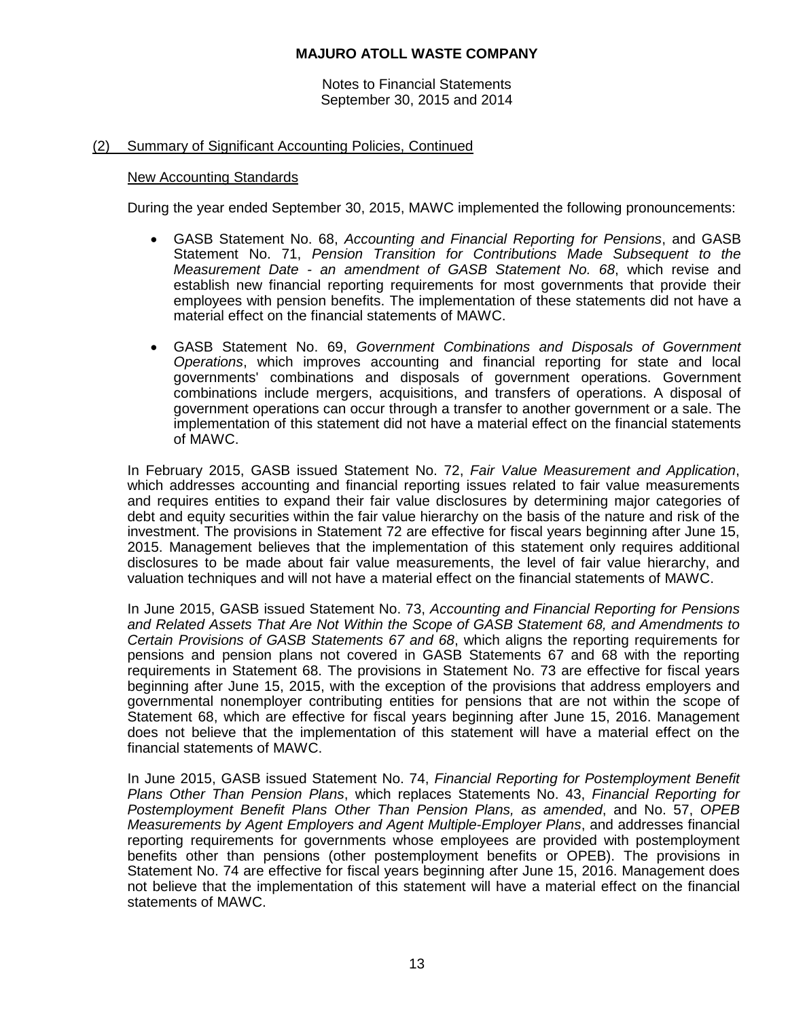Notes to Financial Statements September 30, 2015 and 2014

## (2) Summary of Significant Accounting Policies, Continued

#### New Accounting Standards

During the year ended September 30, 2015, MAWC implemented the following pronouncements:

- GASB Statement No. 68, *Accounting and Financial Reporting for Pensions*, and GASB Statement No. 71, *Pension Transition for Contributions Made Subsequent to the Measurement Date - an amendment of GASB Statement No. 68*, which revise and establish new financial reporting requirements for most governments that provide their employees with pension benefits. The implementation of these statements did not have a material effect on the financial statements of MAWC.
- GASB Statement No. 69, *Government Combinations and Disposals of Government Operations*, which improves accounting and financial reporting for state and local governments' combinations and disposals of government operations. Government combinations include mergers, acquisitions, and transfers of operations. A disposal of government operations can occur through a transfer to another government or a sale. The implementation of this statement did not have a material effect on the financial statements of MAWC.

In February 2015, GASB issued Statement No. 72, *Fair Value Measurement and Application*, which addresses accounting and financial reporting issues related to fair value measurements and requires entities to expand their fair value disclosures by determining major categories of debt and equity securities within the fair value hierarchy on the basis of the nature and risk of the investment. The provisions in Statement 72 are effective for fiscal years beginning after June 15, 2015. Management believes that the implementation of this statement only requires additional disclosures to be made about fair value measurements, the level of fair value hierarchy, and valuation techniques and will not have a material effect on the financial statements of MAWC.

In June 2015, GASB issued Statement No. 73, *Accounting and Financial Reporting for Pensions and Related Assets That Are Not Within the Scope of GASB Statement 68, and Amendments to Certain Provisions of GASB Statements 67 and 68*, which aligns the reporting requirements for pensions and pension plans not covered in GASB Statements 67 and 68 with the reporting requirements in Statement 68. The provisions in Statement No. 73 are effective for fiscal years beginning after June 15, 2015, with the exception of the provisions that address employers and governmental nonemployer contributing entities for pensions that are not within the scope of Statement 68, which are effective for fiscal years beginning after June 15, 2016. Management does not believe that the implementation of this statement will have a material effect on the financial statements of MAWC.

In June 2015, GASB issued Statement No. 74, *Financial Reporting for Postemployment Benefit Plans Other Than Pension Plans*, which replaces Statements No. 43, *Financial Reporting for Postemployment Benefit Plans Other Than Pension Plans, as amended*, and No. 57, *OPEB Measurements by Agent Employers and Agent Multiple-Employer Plans*, and addresses financial reporting requirements for governments whose employees are provided with postemployment benefits other than pensions (other postemployment benefits or OPEB). The provisions in Statement No. 74 are effective for fiscal years beginning after June 15, 2016. Management does not believe that the implementation of this statement will have a material effect on the financial statements of MAWC.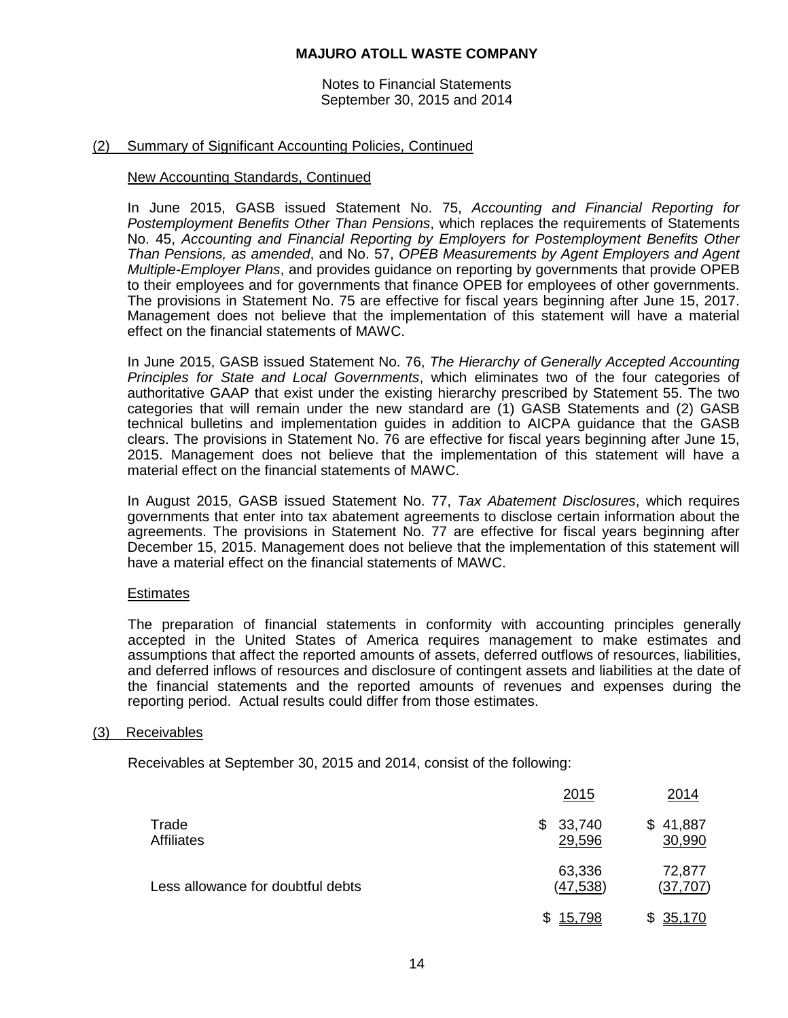Notes to Financial Statements September 30, 2015 and 2014

#### (2) Summary of Significant Accounting Policies, Continued

#### New Accounting Standards, Continued

In June 2015, GASB issued Statement No. 75, *Accounting and Financial Reporting for Postemployment Benefits Other Than Pensions*, which replaces the requirements of Statements No. 45, *Accounting and Financial Reporting by Employers for Postemployment Benefits Other Than Pensions, as amended*, and No. 57, *OPEB Measurements by Agent Employers and Agent Multiple-Employer Plans*, and provides guidance on reporting by governments that provide OPEB to their employees and for governments that finance OPEB for employees of other governments. The provisions in Statement No. 75 are effective for fiscal years beginning after June 15, 2017. Management does not believe that the implementation of this statement will have a material effect on the financial statements of MAWC.

In June 2015, GASB issued Statement No. 76, *The Hierarchy of Generally Accepted Accounting Principles for State and Local Governments*, which eliminates two of the four categories of authoritative GAAP that exist under the existing hierarchy prescribed by Statement 55. The two categories that will remain under the new standard are (1) GASB Statements and (2) GASB technical bulletins and implementation guides in addition to AICPA guidance that the GASB clears. The provisions in Statement No. 76 are effective for fiscal years beginning after June 15, 2015. Management does not believe that the implementation of this statement will have a material effect on the financial statements of MAWC.

In August 2015, GASB issued Statement No. 77, *Tax Abatement Disclosures*, which requires governments that enter into tax abatement agreements to disclose certain information about the agreements. The provisions in Statement No. 77 are effective for fiscal years beginning after December 15, 2015. Management does not believe that the implementation of this statement will have a material effect on the financial statements of MAWC.

#### **Estimates**

The preparation of financial statements in conformity with accounting principles generally accepted in the United States of America requires management to make estimates and assumptions that affect the reported amounts of assets, deferred outflows of resources, liabilities, and deferred inflows of resources and disclosure of contingent assets and liabilities at the date of the financial statements and the reported amounts of revenues and expenses during the reporting period. Actual results could differ from those estimates.

#### (3) Receivables

Receivables at September 30, 2015 and 2014, consist of the following:

|                                   | 2015                  | 2014                |
|-----------------------------------|-----------------------|---------------------|
| Trade<br>Affiliates               | 33,740<br>S<br>29,596 | \$41,887<br>30,990  |
| Less allowance for doubtful debts | 63,336<br>(47, 538)   | 72,877<br>(37, 707) |
|                                   | <u>15,798</u><br>S.   | \$35,170            |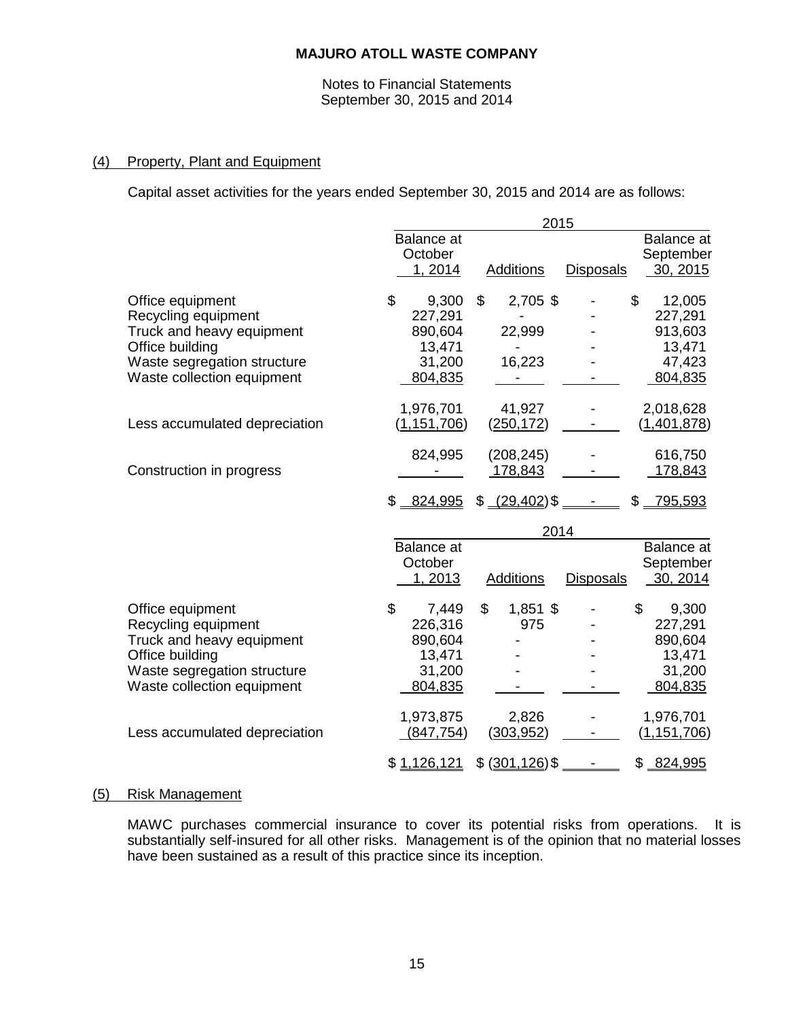Notes to Financial Statements September 30, 2015 and 2014

#### (4) Property, Plant and Equipment

Capital asset activities for the years ended September 30, 2015 and 2014 are as follows:

|                                                                                                                                                      | 2015                                                             |                                                |                                                                   |  |
|------------------------------------------------------------------------------------------------------------------------------------------------------|------------------------------------------------------------------|------------------------------------------------|-------------------------------------------------------------------|--|
|                                                                                                                                                      | <b>Balance</b> at<br>October<br>1, 2014                          | <b>Additions</b><br><b>Disposals</b>           | <b>Balance</b> at<br>September<br>30, 2015                        |  |
| Office equipment<br>Recycling equipment<br>Truck and heavy equipment<br>Office building<br>Waste segregation structure<br>Waste collection equipment | \$<br>9,300<br>227,291<br>890,604<br>13,471<br>31,200<br>804,835 | $\mathfrak{L}$<br>2,705 \$<br>22,999<br>16,223 | \$<br>12,005<br>227,291<br>913,603<br>13,471<br>47,423<br>804,835 |  |
| Less accumulated depreciation                                                                                                                        | 1,976,701<br>(1, 151, 706)                                       | 41,927<br>(250, 172)                           | 2,018,628<br>(1,401,878)                                          |  |
| Construction in progress                                                                                                                             | 824,995                                                          | (208, 245)<br>178,843                          | 616,750<br>178,843                                                |  |
|                                                                                                                                                      | $$ -824,995$<br><b>Balance</b> at                                | $$-(29,402)$<br>2014                           | \$<br>795,593<br><b>Balance</b> at                                |  |
|                                                                                                                                                      | October<br><u>1, 2013</u>                                        | <b>Additions</b><br><b>Disposals</b>           | September<br><u>30, 2014</u>                                      |  |
| Office equipment<br>Recycling equipment<br>Truck and heavy equipment<br>Office building<br>Waste segregation structure<br>Waste collection equipment | \$<br>7,449<br>226,316<br>890,604<br>13,471<br>31,200<br>804,835 | \$<br>1,851 \$<br>975                          | \$<br>9,300<br>227,291<br>890,604<br>13,471<br>31,200<br>804,835  |  |
| Less accumulated depreciation                                                                                                                        | 1,973,875<br>(847, 754)<br>\$1,126,121                           | 2,826<br>(303, 952)<br>\$ (301, 126)           | 1,976,701<br>(1, 151, 706)<br>\$ 824,995                          |  |
|                                                                                                                                                      |                                                                  |                                                |                                                                   |  |

#### (5) Risk Management

MAWC purchases commercial insurance to cover its potential risks from operations. It is substantially self-insured for all other risks. Management is of the opinion that no material losses have been sustained as a result of this practice since its inception.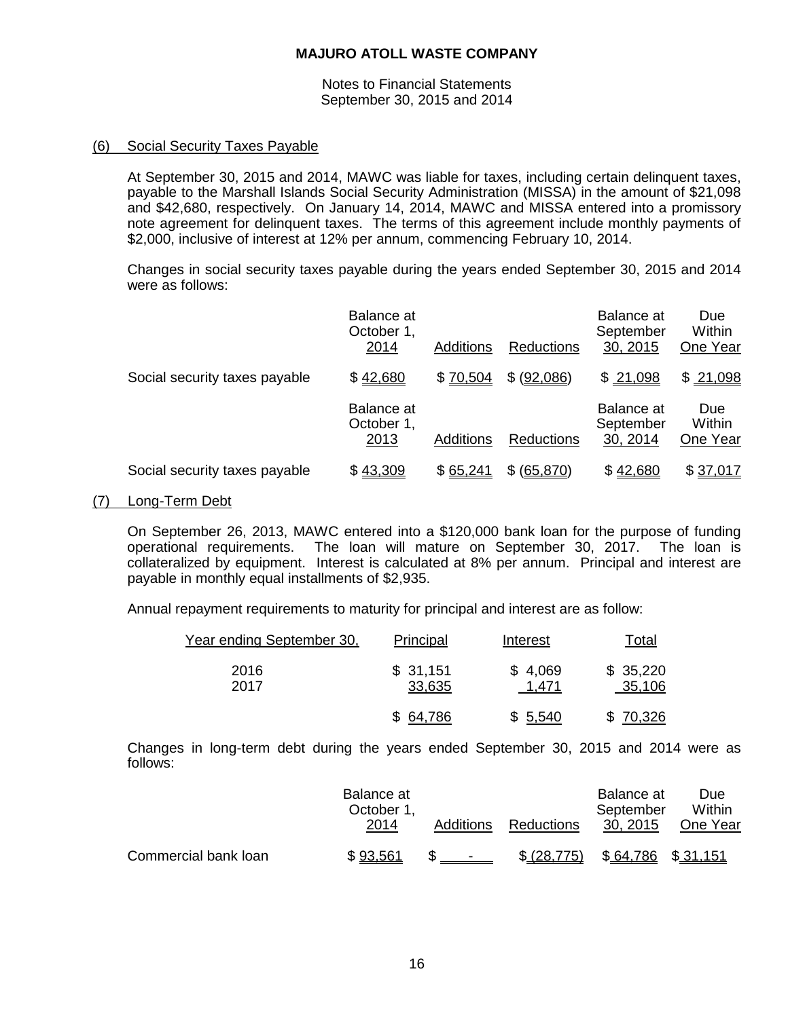Notes to Financial Statements September 30, 2015 and 2014

## (6) Social Security Taxes Payable

At September 30, 2015 and 2014, MAWC was liable for taxes, including certain delinquent taxes, payable to the Marshall Islands Social Security Administration (MISSA) in the amount of \$21,098 and \$42,680, respectively. On January 14, 2014, MAWC and MISSA entered into a promissory note agreement for delinquent taxes. The terms of this agreement include monthly payments of \$2,000, inclusive of interest at 12% per annum, commencing February 10, 2014.

Changes in social security taxes payable during the years ended September 30, 2015 and 2014 were as follows:

|                               | <b>Balance</b> at<br>October 1,<br><u>2014</u> | Additions        | <b>Reductions</b> | Balance at<br>September<br>30, 2015 | Due<br>Within<br>One Year |
|-------------------------------|------------------------------------------------|------------------|-------------------|-------------------------------------|---------------------------|
| Social security taxes payable | \$42,680                                       | \$70,504         | \$ (92,086)       | \$21,098                            | \$ 21,098                 |
|                               | Balance at<br>October 1,<br>2013               | <b>Additions</b> | <b>Reductions</b> | Balance at<br>September<br>30, 2014 | Due<br>Within<br>One Year |
| Social security taxes payable | \$43,309                                       | \$65,241         | \$ (65, 870)      | \$42,680                            | \$37,017                  |

## (7) Long-Term Debt

On September 26, 2013, MAWC entered into a \$120,000 bank loan for the purpose of funding operational requirements. The loan will mature on September 30, 2017. The loan is collateralized by equipment. Interest is calculated at 8% per annum. Principal and interest are payable in monthly equal installments of \$2,935.

Annual repayment requirements to maturity for principal and interest are as follow:

| <u>Year ending September 30.</u> | Principal          | Interest         | Total              |
|----------------------------------|--------------------|------------------|--------------------|
| 2016<br>2017                     | \$31,151<br>33,635 | \$4,069<br>1.471 | \$35,220<br>35,106 |
|                                  | \$ 64,786          | \$5.540          | \$70,326           |

Changes in long-term debt during the years ended September 30, 2015 and 2014 were as follows:

|                      | Balance at<br>October 1,<br>2014 | Additions | Reductions | Balance at<br>September<br>30.2015       | Due<br>Within<br>One Year |
|----------------------|----------------------------------|-----------|------------|------------------------------------------|---------------------------|
| Commercial bank loan | \$93,561                         | $S -$     |            | $$ (28,775) \quad $64,786 \quad $31,151$ |                           |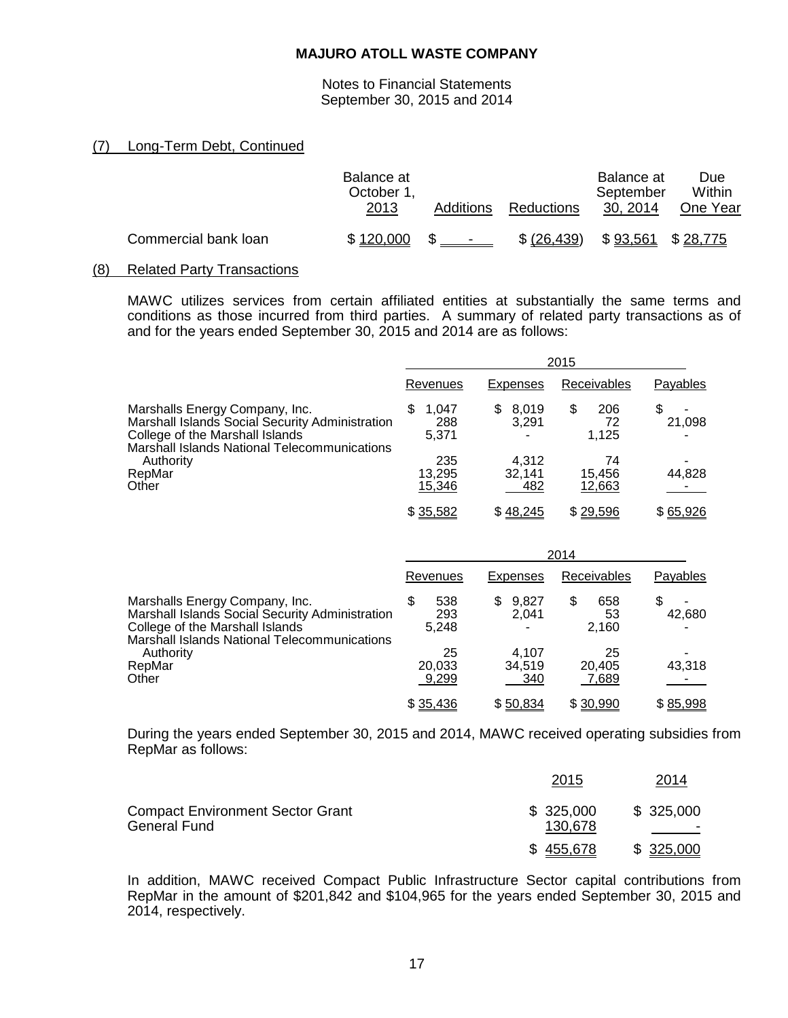Notes to Financial Statements September 30, 2015 and 2014

## (7) Long-Term Debt, Continued

|                      | Balance at<br>October 1,<br>2013 | Additions      | Reductions   | Balance at<br>September<br>30.2014 | Due<br>Within<br>One Year |
|----------------------|----------------------------------|----------------|--------------|------------------------------------|---------------------------|
| Commercial bank loan | \$120,000                        | $\mathbb{S}$ - | \$ (26, 439) | \$93,561 \$28,775                  |                           |

# (8) Related Party Transactions

MAWC utilizes services from certain affiliated entities at substantially the same terms and conditions as those incurred from third parties. A summary of related party transactions as of and for the years ended September 30, 2015 and 2014 are as follows:

|                                                                                                                                                                             |                              |                               | 2015                         |                 |
|-----------------------------------------------------------------------------------------------------------------------------------------------------------------------------|------------------------------|-------------------------------|------------------------------|-----------------|
|                                                                                                                                                                             | <b>Revenues</b>              | <b>Expenses</b>               | Receivables                  | <b>Payables</b> |
| Marshalls Energy Company, Inc.<br>Marshall Islands Social Security Administration<br>College of the Marshall Islands<br><b>Marshall Islands National Telecommunications</b> | \$<br>1.047<br>288<br>5,371  | \$<br>8,019<br>3,291          | \$<br>206<br>72<br>1,125     | \$<br>21,098    |
| Authority<br>RepMar<br>Other                                                                                                                                                | 235<br>13,295<br>15,346      | 4,312<br>32,141<br>482        | 74<br>15,456<br>12,663       | 44,828          |
|                                                                                                                                                                             | \$35,582                     | \$48,245                      | \$29,596                     | \$65,926        |
|                                                                                                                                                                             |                              |                               | 2014                         |                 |
|                                                                                                                                                                             | <b>Revenues</b>              | <b>Expenses</b>               | Receivables                  | <b>Payables</b> |
| Marshalls Energy Company, Inc.<br>Marshall Islands Social Security Administration<br>College of the Marshall Islands<br>Marshall Islands National Telecommunications        | \$<br>538<br>293<br>5,248    | \$<br>9,827<br>2,041          | \$<br>658<br>53<br>2,160     | \$<br>42,680    |
| Authority<br>RepMar<br>Other                                                                                                                                                | 25<br>20,033<br><u>9,299</u> | 4,107<br>34,519<br><u>340</u> | 25<br>20,405<br><u>7,689</u> | 43,318          |
|                                                                                                                                                                             | \$35,436                     | \$50,834                      | \$30,990                     | \$85,998        |

During the years ended September 30, 2015 and 2014, MAWC received operating subsidies from RepMar as follows:

|                                                         | 2015                 | 2014       |
|---------------------------------------------------------|----------------------|------------|
| <b>Compact Environment Sector Grant</b><br>General Fund | \$325,000<br>130.678 | \$325,000  |
|                                                         | \$455,678            | \$ 325,000 |

In addition, MAWC received Compact Public Infrastructure Sector capital contributions from RepMar in the amount of \$201,842 and \$104,965 for the years ended September 30, 2015 and 2014, respectively.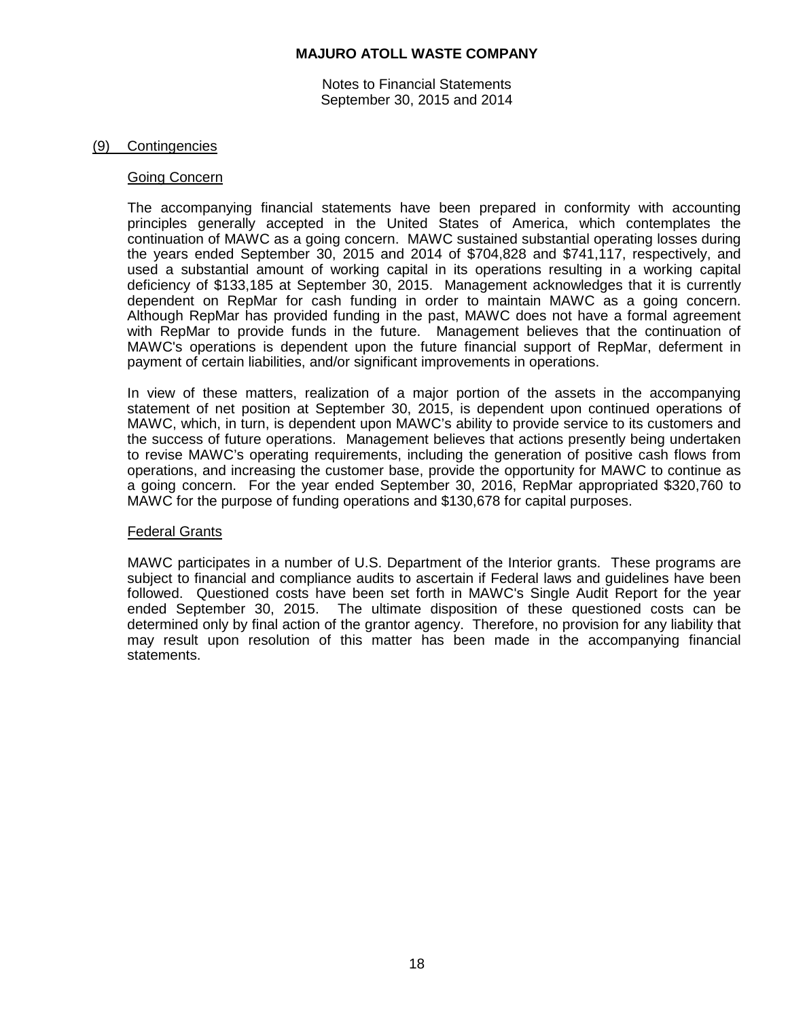Notes to Financial Statements September 30, 2015 and 2014

#### (9) Contingencies

#### Going Concern

The accompanying financial statements have been prepared in conformity with accounting principles generally accepted in the United States of America, which contemplates the continuation of MAWC as a going concern. MAWC sustained substantial operating losses during the years ended September 30, 2015 and 2014 of \$704,828 and \$741,117, respectively, and used a substantial amount of working capital in its operations resulting in a working capital deficiency of \$133,185 at September 30, 2015. Management acknowledges that it is currently dependent on RepMar for cash funding in order to maintain MAWC as a going concern. Although RepMar has provided funding in the past, MAWC does not have a formal agreement with RepMar to provide funds in the future. Management believes that the continuation of MAWC's operations is dependent upon the future financial support of RepMar, deferment in payment of certain liabilities, and/or significant improvements in operations.

In view of these matters, realization of a major portion of the assets in the accompanying statement of net position at September 30, 2015, is dependent upon continued operations of MAWC, which, in turn, is dependent upon MAWC's ability to provide service to its customers and the success of future operations. Management believes that actions presently being undertaken to revise MAWC's operating requirements, including the generation of positive cash flows from operations, and increasing the customer base, provide the opportunity for MAWC to continue as a going concern. For the year ended September 30, 2016, RepMar appropriated \$320,760 to MAWC for the purpose of funding operations and \$130,678 for capital purposes.

## Federal Grants

MAWC participates in a number of U.S. Department of the Interior grants. These programs are subject to financial and compliance audits to ascertain if Federal laws and guidelines have been followed. Questioned costs have been set forth in MAWC's Single Audit Report for the year ended September 30, 2015. The ultimate disposition of these questioned costs can be determined only by final action of the grantor agency. Therefore, no provision for any liability that may result upon resolution of this matter has been made in the accompanying financial statements.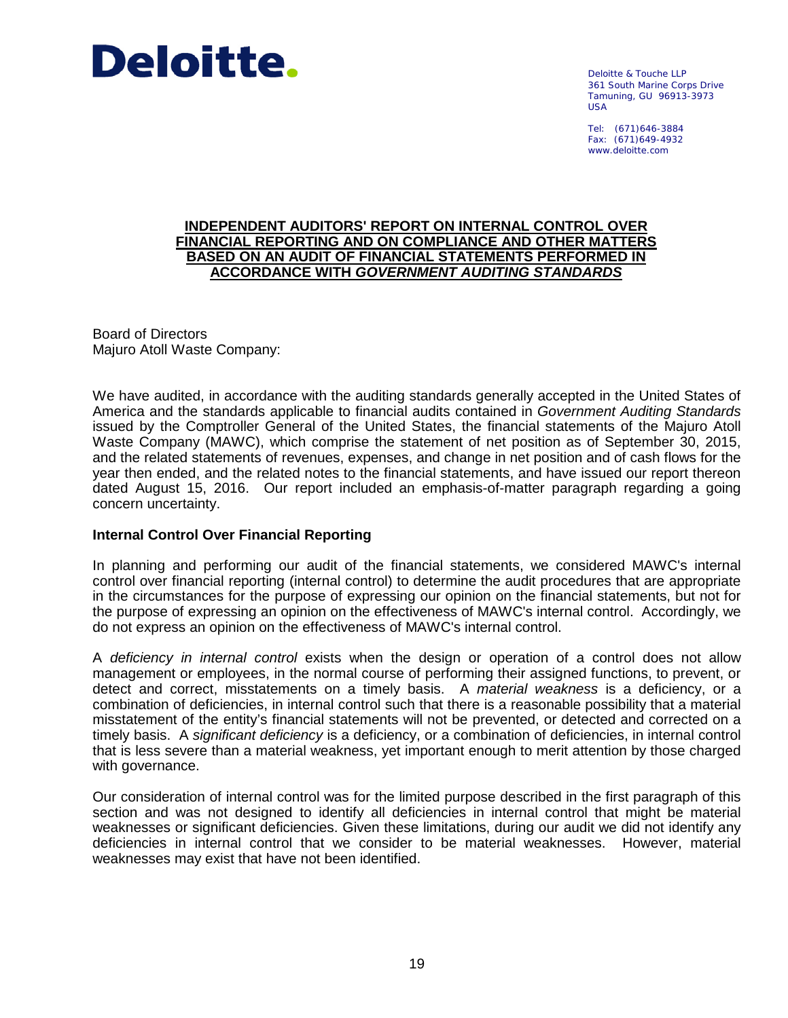

Deloitte & Touche LLP 361 South Marine Corps Drive Tamuning, GU 96913-3973 USA

Tel: (671)646-3884 Fax: (671)649-4932 www.deloitte.com

#### **INDEPENDENT AUDITORS' REPORT ON INTERNAL CONTROL OVER FINANCIAL REPORTING AND ON COMPLIANCE AND OTHER MATTERS BASED ON AN AUDIT OF FINANCIAL STATEMENTS PERFORMED IN ACCORDANCE WITH** *GOVERNMENT AUDITING STANDARDS*

Board of Directors Majuro Atoll Waste Company:

We have audited, in accordance with the auditing standards generally accepted in the United States of America and the standards applicable to financial audits contained in *Government Auditing Standards* issued by the Comptroller General of the United States, the financial statements of the Majuro Atoll Waste Company (MAWC), which comprise the statement of net position as of September 30, 2015, and the related statements of revenues, expenses, and change in net position and of cash flows for the year then ended, and the related notes to the financial statements, and have issued our report thereon dated August 15, 2016. Our report included an emphasis-of-matter paragraph regarding a going concern uncertainty.

# **Internal Control Over Financial Reporting**

In planning and performing our audit of the financial statements, we considered MAWC's internal control over financial reporting (internal control) to determine the audit procedures that are appropriate in the circumstances for the purpose of expressing our opinion on the financial statements, but not for the purpose of expressing an opinion on the effectiveness of MAWC's internal control. Accordingly, we do not express an opinion on the effectiveness of MAWC's internal control.

A *deficiency in internal control* exists when the design or operation of a control does not allow management or employees, in the normal course of performing their assigned functions, to prevent, or detect and correct, misstatements on a timely basis. A *material weakness* is a deficiency, or a combination of deficiencies, in internal control such that there is a reasonable possibility that a material misstatement of the entity's financial statements will not be prevented, or detected and corrected on a timely basis. A *significant deficiency* is a deficiency, or a combination of deficiencies, in internal control that is less severe than a material weakness, yet important enough to merit attention by those charged with governance.

Our consideration of internal control was for the limited purpose described in the first paragraph of this section and was not designed to identify all deficiencies in internal control that might be material weaknesses or significant deficiencies. Given these limitations, during our audit we did not identify any deficiencies in internal control that we consider to be material weaknesses. However, material weaknesses may exist that have not been identified.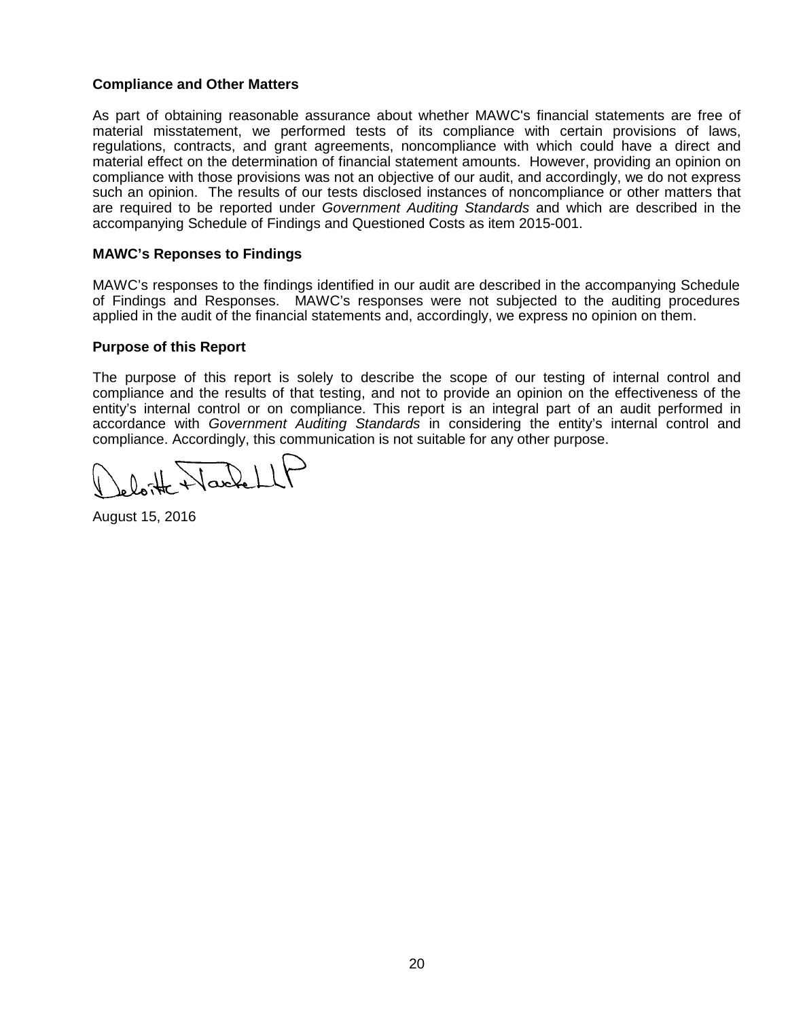## **Compliance and Other Matters**

As part of obtaining reasonable assurance about whether MAWC's financial statements are free of material misstatement, we performed tests of its compliance with certain provisions of laws, regulations, contracts, and grant agreements, noncompliance with which could have a direct and material effect on the determination of financial statement amounts. However, providing an opinion on compliance with those provisions was not an objective of our audit, and accordingly, we do not express such an opinion. The results of our tests disclosed instances of noncompliance or other matters that are required to be reported under *Government Auditing Standards* and which are described in the accompanying Schedule of Findings and Questioned Costs as item 2015-001.

## **MAWC's Reponses to Findings**

MAWC's responses to the findings identified in our audit are described in the accompanying Schedule of Findings and Responses. MAWC's responses were not subjected to the auditing procedures applied in the audit of the financial statements and, accordingly, we express no opinion on them.

## **Purpose of this Report**

The purpose of this report is solely to describe the scope of our testing of internal control and compliance and the results of that testing, and not to provide an opinion on the effectiveness of the entity's internal control or on compliance. This report is an integral part of an audit performed in accordance with *Government Auditing Standards* in considering the entity's internal control and compliance. Accordingly, this communication is not suitable for any other purpose.

Varle)

August 15, 2016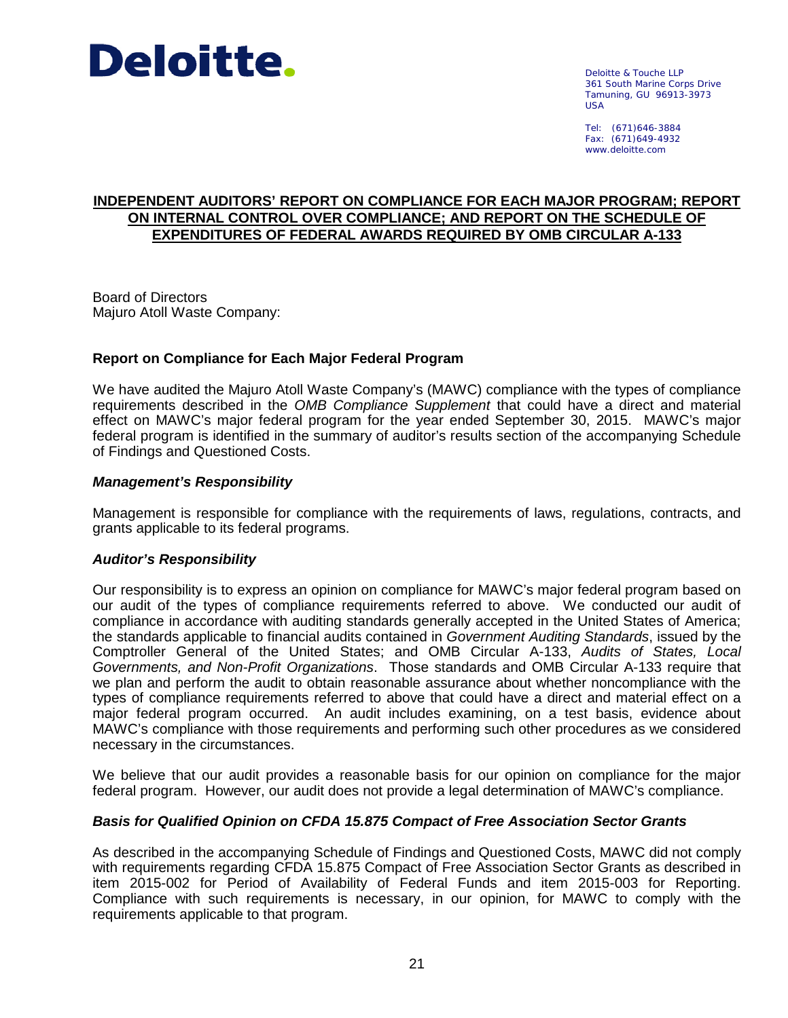

Deloitte & Touche LLP 361 South Marine Corps Drive Tamuning, GU 96913-3973 USA

Tel: (671)646-3884 Fax: (671)649-4932 www.deloitte.com

# **INDEPENDENT AUDITORS' REPORT ON COMPLIANCE FOR EACH MAJOR PROGRAM; REPORT ON INTERNAL CONTROL OVER COMPLIANCE; AND REPORT ON THE SCHEDULE OF EXPENDITURES OF FEDERAL AWARDS REQUIRED BY OMB CIRCULAR A-133**

Board of Directors Majuro Atoll Waste Company:

## **Report on Compliance for Each Major Federal Program**

We have audited the Majuro Atoll Waste Company's (MAWC) compliance with the types of compliance requirements described in the *OMB Compliance Supplement* that could have a direct and material effect on MAWC's major federal program for the year ended September 30, 2015. MAWC's major federal program is identified in the summary of auditor's results section of the accompanying Schedule of Findings and Questioned Costs.

## *Management's Responsibility*

Management is responsible for compliance with the requirements of laws, regulations, contracts, and grants applicable to its federal programs.

## *Auditor's Responsibility*

Our responsibility is to express an opinion on compliance for MAWC's major federal program based on our audit of the types of compliance requirements referred to above. We conducted our audit of compliance in accordance with auditing standards generally accepted in the United States of America; the standards applicable to financial audits contained in *Government Auditing Standards*, issued by the Comptroller General of the United States; and OMB Circular A-133, *Audits of States, Local Governments, and Non-Profit Organizations*. Those standards and OMB Circular A-133 require that we plan and perform the audit to obtain reasonable assurance about whether noncompliance with the types of compliance requirements referred to above that could have a direct and material effect on a major federal program occurred. An audit includes examining, on a test basis, evidence about MAWC's compliance with those requirements and performing such other procedures as we considered necessary in the circumstances.

We believe that our audit provides a reasonable basis for our opinion on compliance for the major federal program. However, our audit does not provide a legal determination of MAWC's compliance.

## *Basis for Qualified Opinion on CFDA 15.875 Compact of Free Association Sector Grants*

As described in the accompanying Schedule of Findings and Questioned Costs, MAWC did not comply with requirements regarding CFDA 15.875 Compact of Free Association Sector Grants as described in item 2015-002 for Period of Availability of Federal Funds and item 2015-003 for Reporting. Compliance with such requirements is necessary, in our opinion, for MAWC to comply with the requirements applicable to that program.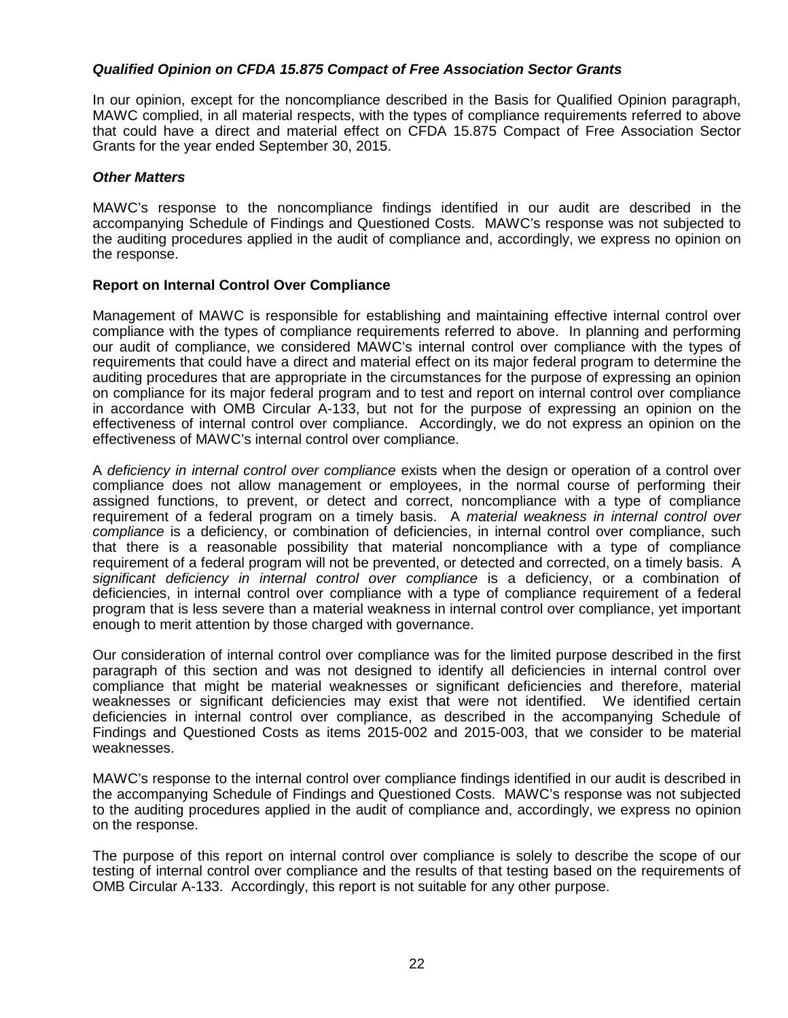## *Qualified Opinion on CFDA 15.875 Compact of Free Association Sector Grants*

In our opinion, except for the noncompliance described in the Basis for Qualified Opinion paragraph, MAWC complied, in all material respects, with the types of compliance requirements referred to above that could have a direct and material effect on CFDA 15.875 Compact of Free Association Sector Grants for the year ended September 30, 2015.

## *Other Matters*

MAWC's response to the noncompliance findings identified in our audit are described in the accompanying Schedule of Findings and Questioned Costs. MAWC's response was not subjected to the auditing procedures applied in the audit of compliance and, accordingly, we express no opinion on the response.

## **Report on Internal Control Over Compliance**

Management of MAWC is responsible for establishing and maintaining effective internal control over compliance with the types of compliance requirements referred to above. In planning and performing our audit of compliance, we considered MAWC's internal control over compliance with the types of requirements that could have a direct and material effect on its major federal program to determine the auditing procedures that are appropriate in the circumstances for the purpose of expressing an opinion on compliance for its major federal program and to test and report on internal control over compliance in accordance with OMB Circular A-133, but not for the purpose of expressing an opinion on the effectiveness of internal control over compliance. Accordingly, we do not express an opinion on the effectiveness of MAWC's internal control over compliance.

A *deficiency in internal control over compliance* exists when the design or operation of a control over compliance does not allow management or employees, in the normal course of performing their assigned functions, to prevent, or detect and correct, noncompliance with a type of compliance requirement of a federal program on a timely basis. A *material weakness in internal control over compliance* is a deficiency, or combination of deficiencies, in internal control over compliance, such that there is a reasonable possibility that material noncompliance with a type of compliance requirement of a federal program will not be prevented, or detected and corrected, on a timely basis. A *significant deficiency in internal control over compliance* is a deficiency, or a combination of deficiencies, in internal control over compliance with a type of compliance requirement of a federal program that is less severe than a material weakness in internal control over compliance, yet important enough to merit attention by those charged with governance.

Our consideration of internal control over compliance was for the limited purpose described in the first paragraph of this section and was not designed to identify all deficiencies in internal control over compliance that might be material weaknesses or significant deficiencies and therefore, material weaknesses or significant deficiencies may exist that were not identified. We identified certain deficiencies in internal control over compliance, as described in the accompanying Schedule of Findings and Questioned Costs as items 2015-002 and 2015-003, that we consider to be material weaknesses.

MAWC's response to the internal control over compliance findings identified in our audit is described in the accompanying Schedule of Findings and Questioned Costs. MAWC's response was not subjected to the auditing procedures applied in the audit of compliance and, accordingly, we express no opinion on the response.

The purpose of this report on internal control over compliance is solely to describe the scope of our testing of internal control over compliance and the results of that testing based on the requirements of OMB Circular A-133. Accordingly, this report is not suitable for any other purpose.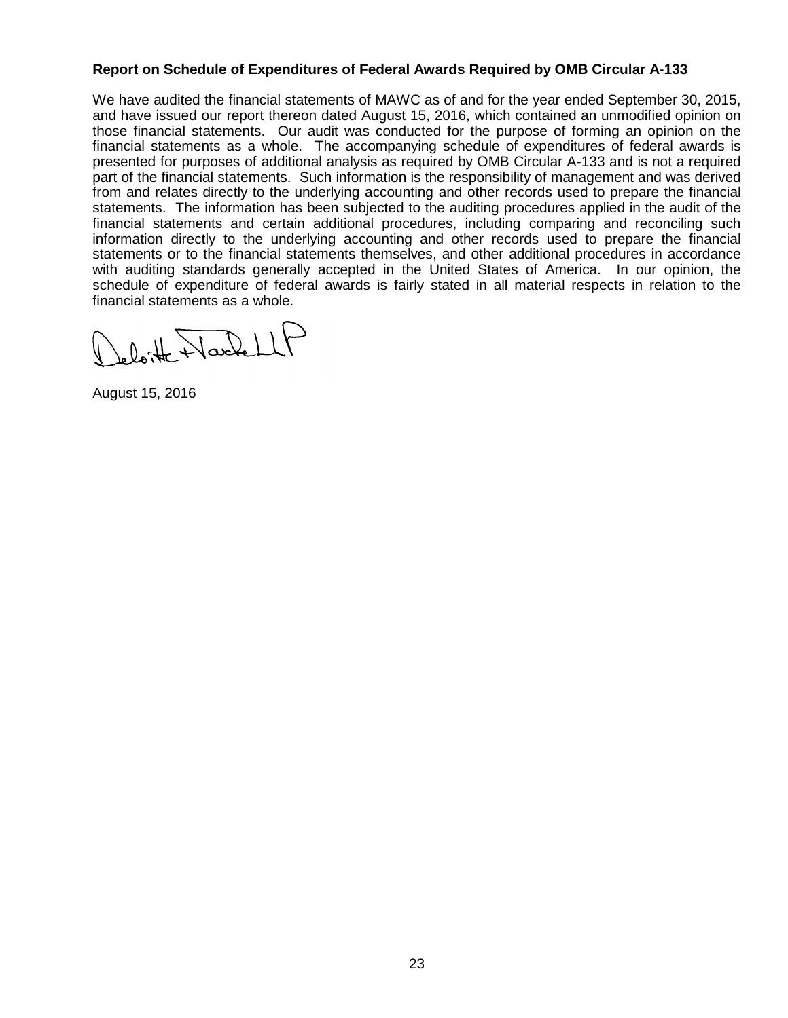# **Report on Schedule of Expenditures of Federal Awards Required by OMB Circular A-133**

We have audited the financial statements of MAWC as of and for the year ended September 30, 2015, and have issued our report thereon dated August 15, 2016, which contained an unmodified opinion on those financial statements. Our audit was conducted for the purpose of forming an opinion on the financial statements as a whole. The accompanying schedule of expenditures of federal awards is presented for purposes of additional analysis as required by OMB Circular A-133 and is not a required part of the financial statements. Such information is the responsibility of management and was derived from and relates directly to the underlying accounting and other records used to prepare the financial statements. The information has been subjected to the auditing procedures applied in the audit of the financial statements and certain additional procedures, including comparing and reconciling such information directly to the underlying accounting and other records used to prepare the financial statements or to the financial statements themselves, and other additional procedures in accordance with auditing standards generally accepted in the United States of America. In our opinion, the schedule of expenditure of federal awards is fairly stated in all material respects in relation to the financial statements as a whole.

eloitte NachellP

August 15, 2016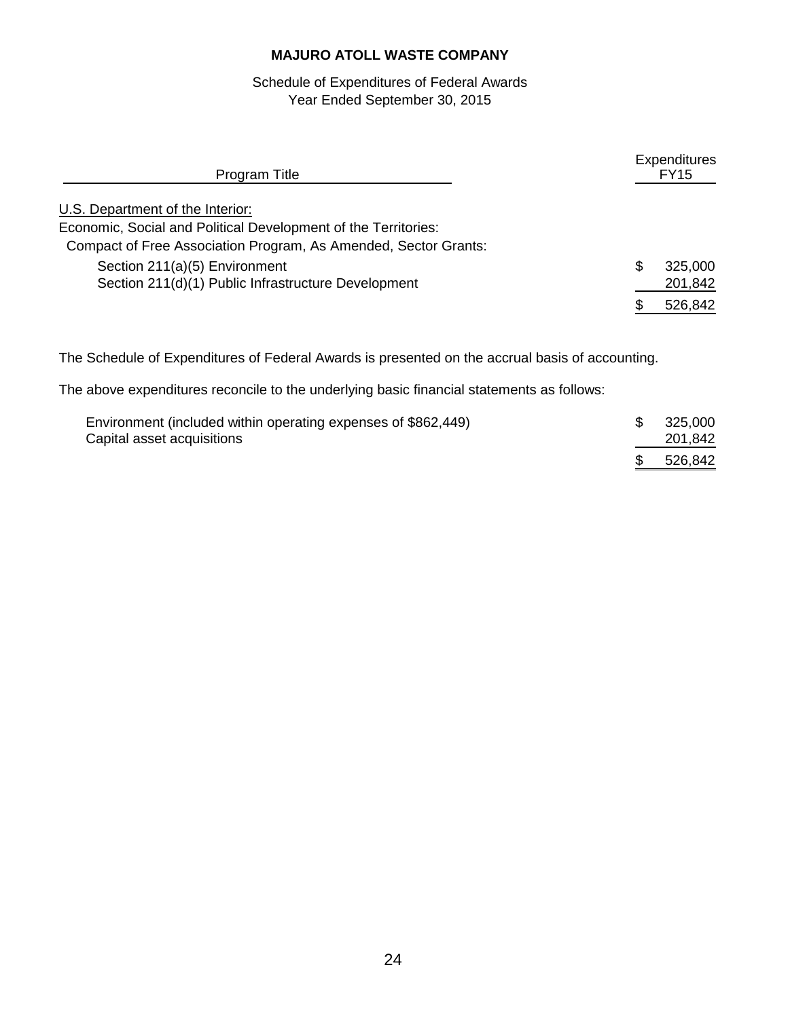# Schedule of Expenditures of Federal Awards Year Ended September 30, 2015

| Program Title                                                   |   | <b>Expenditures</b><br><b>FY15</b> |
|-----------------------------------------------------------------|---|------------------------------------|
| U.S. Department of the Interior:                                |   |                                    |
| Economic, Social and Political Development of the Territories:  |   |                                    |
| Compact of Free Association Program, As Amended, Sector Grants: |   |                                    |
| Section 211(a)(5) Environment                                   | S | 325,000                            |
| Section 211(d)(1) Public Infrastructure Development             |   | 201,842                            |
|                                                                 |   | 526,842                            |

The Schedule of Expenditures of Federal Awards is presented on the accrual basis of accounting.

The above expenditures reconcile to the underlying basic financial statements as follows:

| Environment (included within operating expenses of \$862,449)<br>Capital asset acquisitions | 325,000<br>201,842 |
|---------------------------------------------------------------------------------------------|--------------------|
|                                                                                             | 526,842            |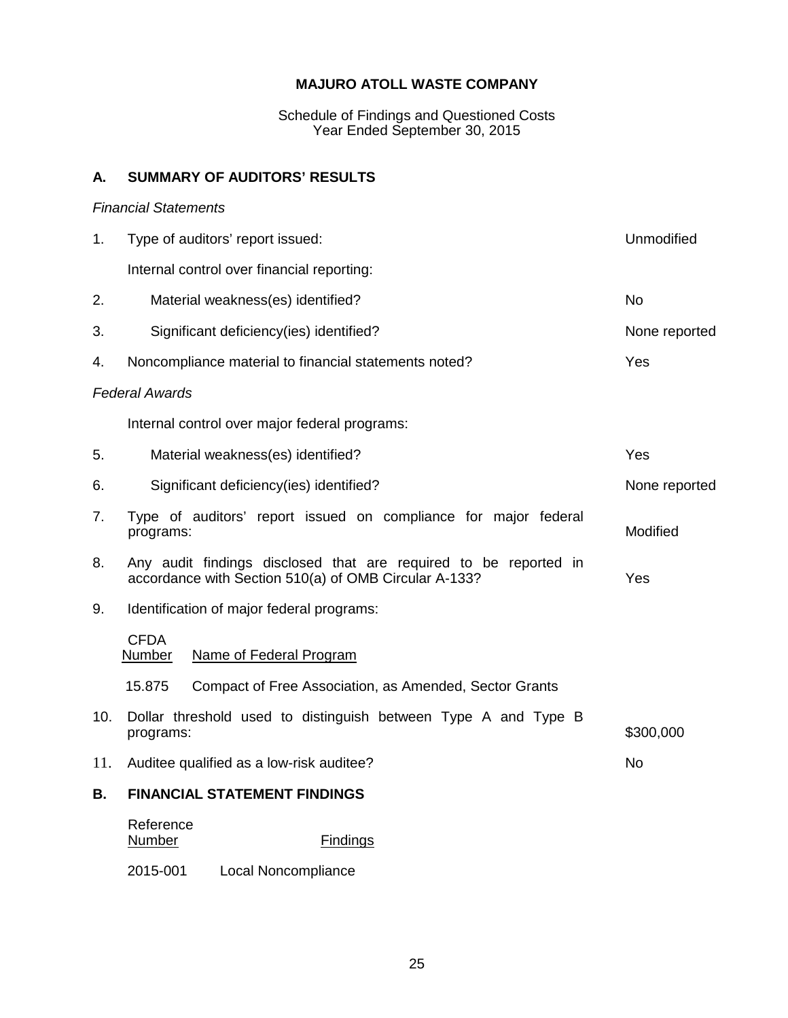Schedule of Findings and Questioned Costs Year Ended September 30, 2015

# **A. SUMMARY OF AUDITORS' RESULTS**

# *Financial Statements*

| 1.  | Unmodified<br>Type of auditors' report issued:                                                                                   |                                                                |               |
|-----|----------------------------------------------------------------------------------------------------------------------------------|----------------------------------------------------------------|---------------|
|     | Internal control over financial reporting:                                                                                       |                                                                |               |
| 2.  | Material weakness(es) identified?                                                                                                |                                                                | <b>No</b>     |
| 3.  | Significant deficiency(ies) identified?                                                                                          |                                                                | None reported |
| 4.  | Noncompliance material to financial statements noted?                                                                            |                                                                | Yes           |
|     | <b>Federal Awards</b>                                                                                                            |                                                                |               |
|     | Internal control over major federal programs:                                                                                    |                                                                |               |
| 5.  | Material weakness(es) identified?                                                                                                |                                                                | Yes           |
| 6.  | Significant deficiency(ies) identified?                                                                                          |                                                                | None reported |
| 7.  | Type of auditors' report issued on compliance for major federal<br>Modified<br>programs:                                         |                                                                |               |
| 8.  | Any audit findings disclosed that are required to be reported in<br>accordance with Section 510(a) of OMB Circular A-133?<br>Yes |                                                                |               |
| 9.  | Identification of major federal programs:                                                                                        |                                                                |               |
|     | <b>CFDA</b><br><b>Number</b><br>Name of Federal Program                                                                          |                                                                |               |
|     | 15.875                                                                                                                           | Compact of Free Association, as Amended, Sector Grants         |               |
| 10. | programs:                                                                                                                        | Dollar threshold used to distinguish between Type A and Type B | \$300,000     |
| 11. | <b>No</b><br>Auditee qualified as a low-risk auditee?                                                                            |                                                                |               |
| В.  | <b>FINANCIAL STATEMENT FINDINGS</b>                                                                                              |                                                                |               |
|     | Reference<br><b>Number</b>                                                                                                       | <b>Findings</b>                                                |               |

2015-001 Local Noncompliance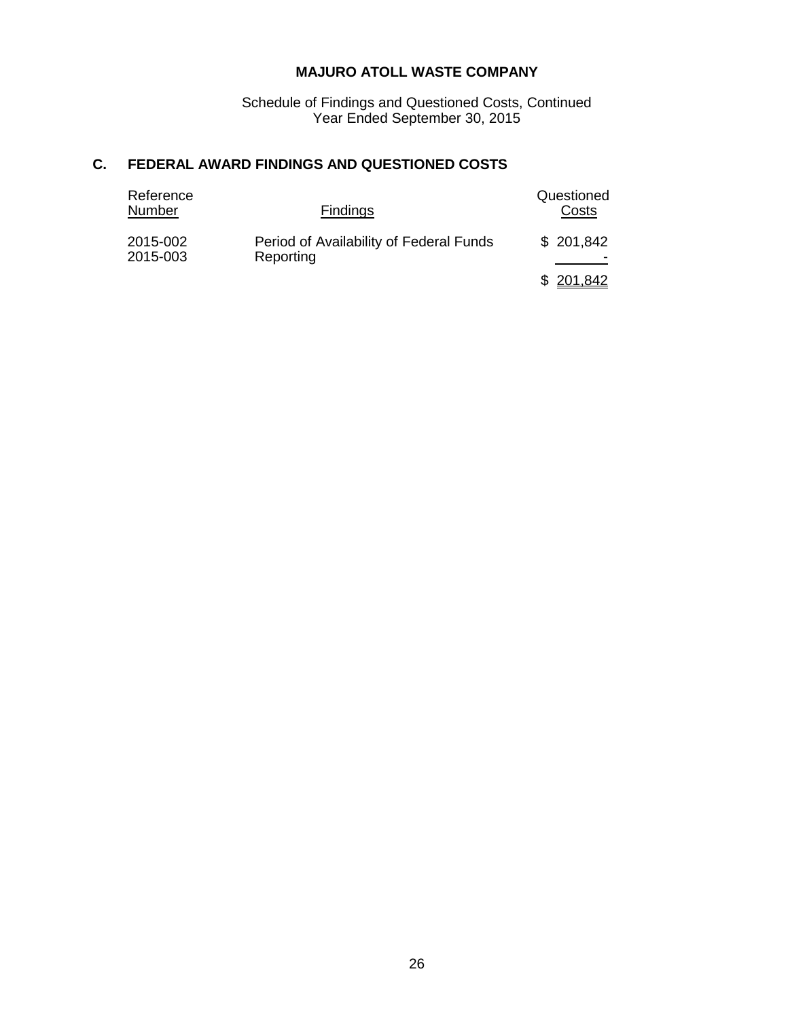Schedule of Findings and Questioned Costs, Continued Year Ended September 30, 2015

# **C. FEDERAL AWARD FINDINGS AND QUESTIONED COSTS**

| Reference<br>Number  | <b>Findings</b>                                      | Questioned<br>Costs |
|----------------------|------------------------------------------------------|---------------------|
| 2015-002<br>2015-003 | Period of Availability of Federal Funds<br>Reporting | \$201,842           |
|                      |                                                      | 201,842<br>\$.      |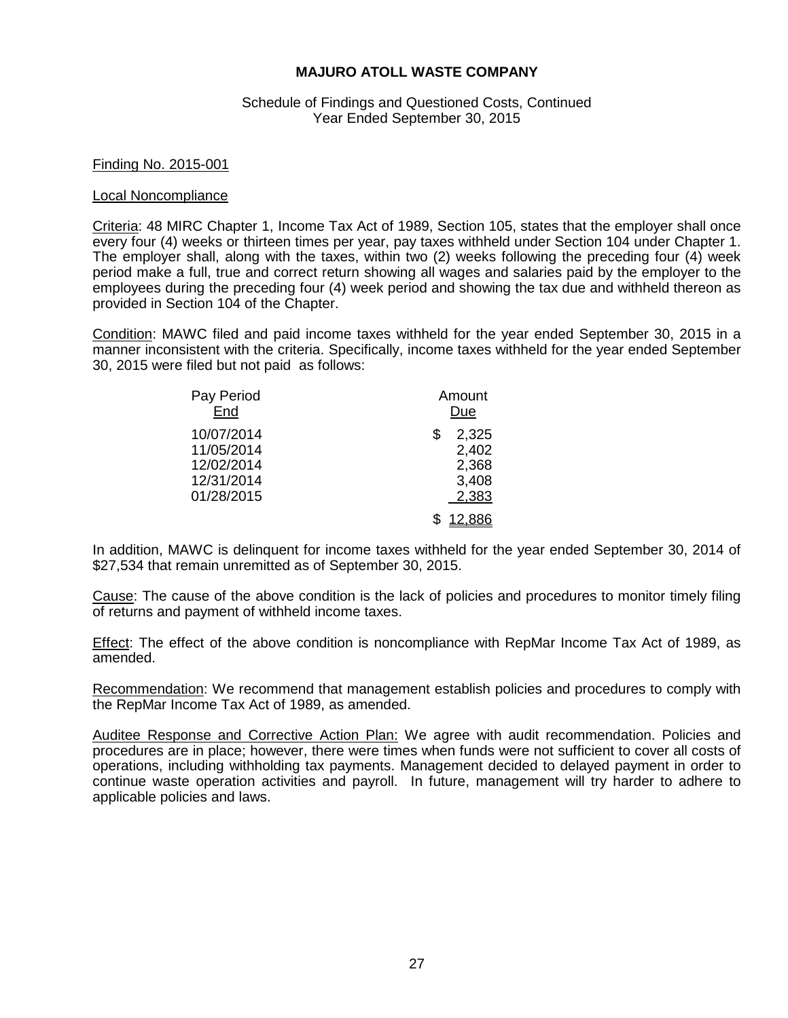Schedule of Findings and Questioned Costs, Continued Year Ended September 30, 2015

#### Finding No. 2015-001

#### Local Noncompliance

Criteria: 48 MIRC Chapter 1, Income Tax Act of 1989, Section 105, states that the employer shall once every four (4) weeks or thirteen times per year, pay taxes withheld under Section 104 under Chapter 1. The employer shall, along with the taxes, within two (2) weeks following the preceding four (4) week period make a full, true and correct return showing all wages and salaries paid by the employer to the employees during the preceding four (4) week period and showing the tax due and withheld thereon as provided in Section 104 of the Chapter.

Condition: MAWC filed and paid income taxes withheld for the year ended September 30, 2015 in a manner inconsistent with the criteria. Specifically, income taxes withheld for the year ended September 30, 2015 were filed but not paid as follows:

| Pay Period<br>End | Amount<br>Due |  |
|-------------------|---------------|--|
|                   |               |  |
| 10/07/2014        | 2,325         |  |
| 11/05/2014        | 2,402         |  |
| 12/02/2014        | 2,368         |  |
| 12/31/2014        | 3,408         |  |
| 01/28/2015        | 2,383         |  |
|                   | 12,886        |  |

In addition, MAWC is delinquent for income taxes withheld for the year ended September 30, 2014 of \$27,534 that remain unremitted as of September 30, 2015.

Cause: The cause of the above condition is the lack of policies and procedures to monitor timely filing of returns and payment of withheld income taxes.

Effect: The effect of the above condition is noncompliance with RepMar Income Tax Act of 1989, as amended.

Recommendation: We recommend that management establish policies and procedures to comply with the RepMar Income Tax Act of 1989, as amended.

Auditee Response and Corrective Action Plan: We agree with audit recommendation. Policies and procedures are in place; however, there were times when funds were not sufficient to cover all costs of operations, including withholding tax payments. Management decided to delayed payment in order to continue waste operation activities and payroll. In future, management will try harder to adhere to applicable policies and laws.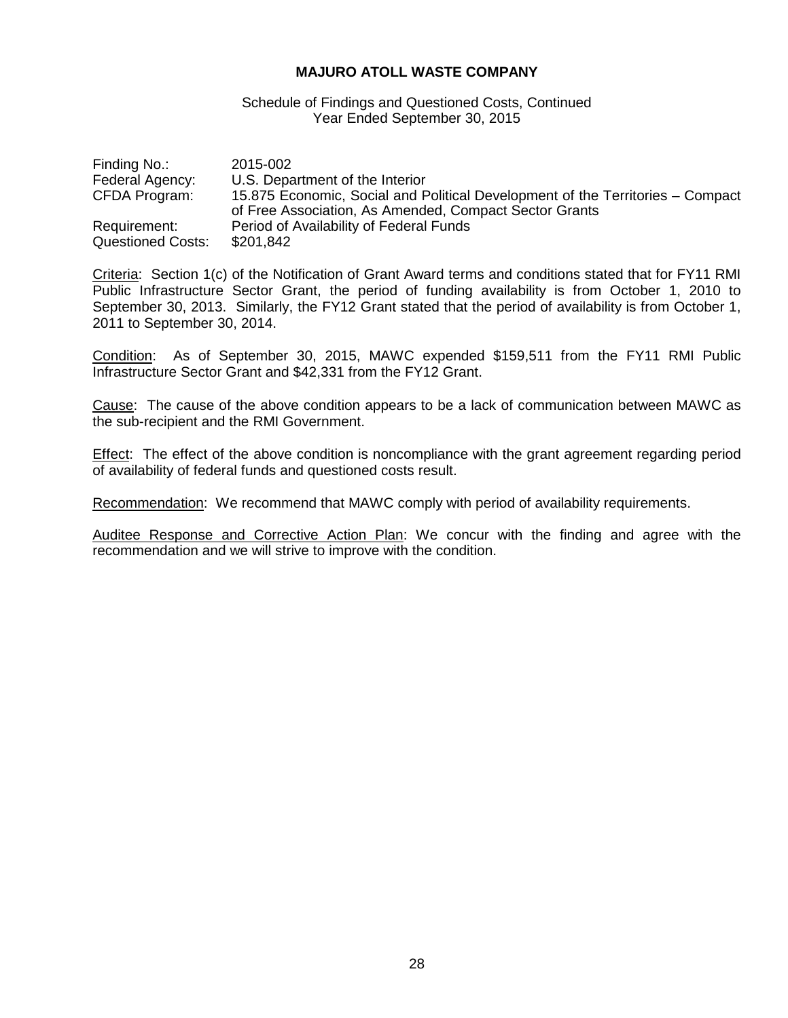Schedule of Findings and Questioned Costs, Continued Year Ended September 30, 2015

| Finding No.:             | 2015-002                                                                                                                                 |
|--------------------------|------------------------------------------------------------------------------------------------------------------------------------------|
| Federal Agency:          | U.S. Department of the Interior                                                                                                          |
| CFDA Program:            | 15.875 Economic, Social and Political Development of the Territories – Compact<br>of Free Association, As Amended, Compact Sector Grants |
| Requirement:             | Period of Availability of Federal Funds                                                                                                  |
| <b>Questioned Costs:</b> | \$201,842                                                                                                                                |

Criteria: Section 1(c) of the Notification of Grant Award terms and conditions stated that for FY11 RMI Public Infrastructure Sector Grant, the period of funding availability is from October 1, 2010 to September 30, 2013. Similarly, the FY12 Grant stated that the period of availability is from October 1, 2011 to September 30, 2014.

Condition: As of September 30, 2015, MAWC expended \$159,511 from the FY11 RMI Public Infrastructure Sector Grant and \$42,331 from the FY12 Grant.

Cause: The cause of the above condition appears to be a lack of communication between MAWC as the sub-recipient and the RMI Government.

Effect: The effect of the above condition is noncompliance with the grant agreement regarding period of availability of federal funds and questioned costs result.

Recommendation: We recommend that MAWC comply with period of availability requirements.

Auditee Response and Corrective Action Plan: We concur with the finding and agree with the recommendation and we will strive to improve with the condition.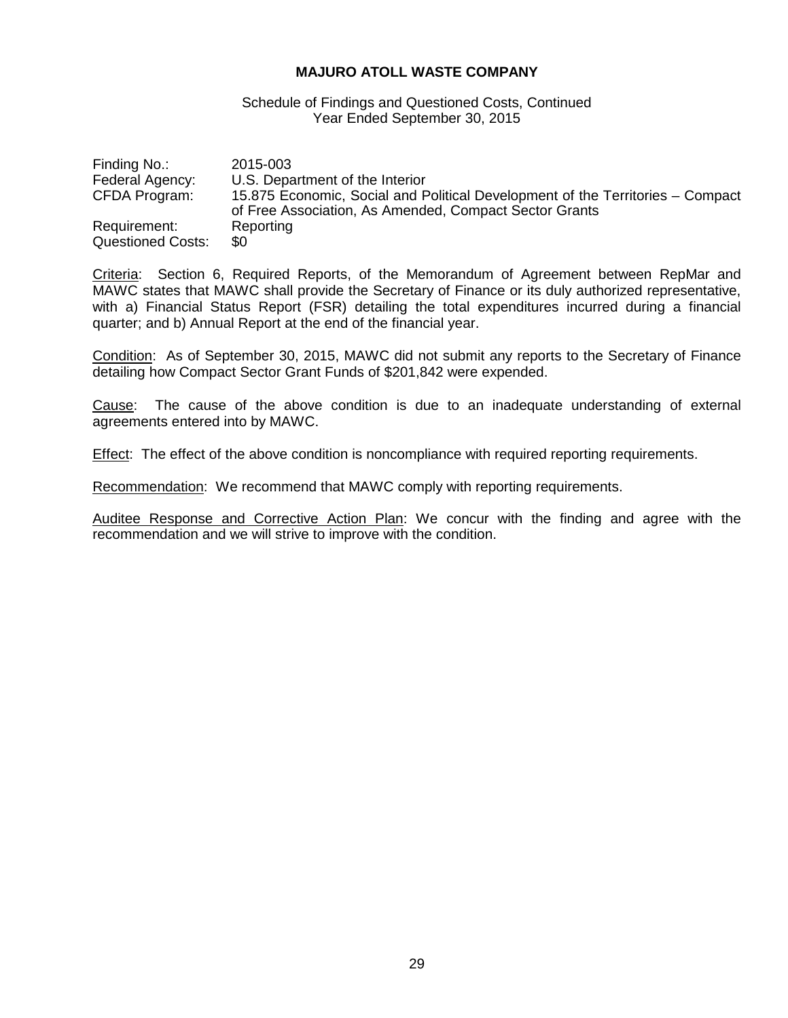Schedule of Findings and Questioned Costs, Continued Year Ended September 30, 2015

| Finding No.:             | 2015-003                                                                                                                                 |
|--------------------------|------------------------------------------------------------------------------------------------------------------------------------------|
| Federal Agency:          | U.S. Department of the Interior                                                                                                          |
| CFDA Program:            | 15.875 Economic, Social and Political Development of the Territories – Compact<br>of Free Association, As Amended, Compact Sector Grants |
| Requirement:             | Reporting                                                                                                                                |
| <b>Questioned Costs:</b> | \$0                                                                                                                                      |

Criteria: Section 6, Required Reports, of the Memorandum of Agreement between RepMar and MAWC states that MAWC shall provide the Secretary of Finance or its duly authorized representative, with a) Financial Status Report (FSR) detailing the total expenditures incurred during a financial quarter; and b) Annual Report at the end of the financial year.

Condition: As of September 30, 2015, MAWC did not submit any reports to the Secretary of Finance detailing how Compact Sector Grant Funds of \$201,842 were expended.

Cause: The cause of the above condition is due to an inadequate understanding of external agreements entered into by MAWC.

Effect: The effect of the above condition is noncompliance with required reporting requirements.

Recommendation: We recommend that MAWC comply with reporting requirements.

Auditee Response and Corrective Action Plan: We concur with the finding and agree with the recommendation and we will strive to improve with the condition.